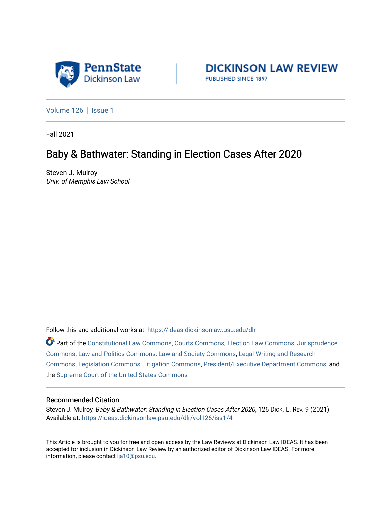



[Volume 126](https://ideas.dickinsonlaw.psu.edu/dlr/vol126) | [Issue 1](https://ideas.dickinsonlaw.psu.edu/dlr/vol126/iss1)

Fall 2021

## Baby & Bathwater: Standing in Election Cases After 2020

Steven J. Mulroy Univ. of Memphis Law School

Follow this and additional works at: [https://ideas.dickinsonlaw.psu.edu/dlr](https://ideas.dickinsonlaw.psu.edu/dlr?utm_source=ideas.dickinsonlaw.psu.edu%2Fdlr%2Fvol126%2Fiss1%2F4&utm_medium=PDF&utm_campaign=PDFCoverPages) 

Part of the [Constitutional Law Commons,](http://network.bepress.com/hgg/discipline/589?utm_source=ideas.dickinsonlaw.psu.edu%2Fdlr%2Fvol126%2Fiss1%2F4&utm_medium=PDF&utm_campaign=PDFCoverPages) [Courts Commons,](http://network.bepress.com/hgg/discipline/839?utm_source=ideas.dickinsonlaw.psu.edu%2Fdlr%2Fvol126%2Fiss1%2F4&utm_medium=PDF&utm_campaign=PDFCoverPages) [Election Law Commons,](http://network.bepress.com/hgg/discipline/1121?utm_source=ideas.dickinsonlaw.psu.edu%2Fdlr%2Fvol126%2Fiss1%2F4&utm_medium=PDF&utm_campaign=PDFCoverPages) [Jurisprudence](http://network.bepress.com/hgg/discipline/610?utm_source=ideas.dickinsonlaw.psu.edu%2Fdlr%2Fvol126%2Fiss1%2F4&utm_medium=PDF&utm_campaign=PDFCoverPages)  [Commons](http://network.bepress.com/hgg/discipline/610?utm_source=ideas.dickinsonlaw.psu.edu%2Fdlr%2Fvol126%2Fiss1%2F4&utm_medium=PDF&utm_campaign=PDFCoverPages), [Law and Politics Commons,](http://network.bepress.com/hgg/discipline/867?utm_source=ideas.dickinsonlaw.psu.edu%2Fdlr%2Fvol126%2Fiss1%2F4&utm_medium=PDF&utm_campaign=PDFCoverPages) [Law and Society Commons](http://network.bepress.com/hgg/discipline/853?utm_source=ideas.dickinsonlaw.psu.edu%2Fdlr%2Fvol126%2Fiss1%2F4&utm_medium=PDF&utm_campaign=PDFCoverPages), [Legal Writing and Research](http://network.bepress.com/hgg/discipline/614?utm_source=ideas.dickinsonlaw.psu.edu%2Fdlr%2Fvol126%2Fiss1%2F4&utm_medium=PDF&utm_campaign=PDFCoverPages)  [Commons](http://network.bepress.com/hgg/discipline/614?utm_source=ideas.dickinsonlaw.psu.edu%2Fdlr%2Fvol126%2Fiss1%2F4&utm_medium=PDF&utm_campaign=PDFCoverPages), [Legislation Commons,](http://network.bepress.com/hgg/discipline/859?utm_source=ideas.dickinsonlaw.psu.edu%2Fdlr%2Fvol126%2Fiss1%2F4&utm_medium=PDF&utm_campaign=PDFCoverPages) [Litigation Commons](http://network.bepress.com/hgg/discipline/910?utm_source=ideas.dickinsonlaw.psu.edu%2Fdlr%2Fvol126%2Fiss1%2F4&utm_medium=PDF&utm_campaign=PDFCoverPages), [President/Executive Department Commons](http://network.bepress.com/hgg/discipline/1118?utm_source=ideas.dickinsonlaw.psu.edu%2Fdlr%2Fvol126%2Fiss1%2F4&utm_medium=PDF&utm_campaign=PDFCoverPages), and the [Supreme Court of the United States Commons](http://network.bepress.com/hgg/discipline/1350?utm_source=ideas.dickinsonlaw.psu.edu%2Fdlr%2Fvol126%2Fiss1%2F4&utm_medium=PDF&utm_campaign=PDFCoverPages)

## Recommended Citation

Steven J. Mulroy, Baby & Bathwater: Standing in Election Cases After 2020, 126 DICK. L. REV. 9 (2021). Available at: [https://ideas.dickinsonlaw.psu.edu/dlr/vol126/iss1/4](https://ideas.dickinsonlaw.psu.edu/dlr/vol126/iss1/4?utm_source=ideas.dickinsonlaw.psu.edu%2Fdlr%2Fvol126%2Fiss1%2F4&utm_medium=PDF&utm_campaign=PDFCoverPages)

This Article is brought to you for free and open access by the Law Reviews at Dickinson Law IDEAS. It has been accepted for inclusion in Dickinson Law Review by an authorized editor of Dickinson Law IDEAS. For more information, please contact [lja10@psu.edu.](mailto:lja10@psu.edu)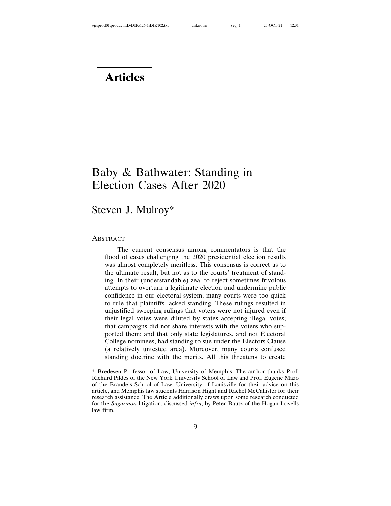# **Articles**

## Baby & Bathwater: Standing in Election Cases After 2020

## Steven J. Mulroy\*

## **ABSTRACT**

The current consensus among commentators is that the flood of cases challenging the 2020 presidential election results was almost completely meritless. This consensus is correct as to the ultimate result, but not as to the courts' treatment of standing. In their (understandable) zeal to reject sometimes frivolous attempts to overturn a legitimate election and undermine public confidence in our electoral system, many courts were too quick to rule that plaintiffs lacked standing. These rulings resulted in unjustified sweeping rulings that voters were not injured even if their legal votes were diluted by states accepting illegal votes; that campaigns did not share interests with the voters who supported them; and that only state legislatures, and not Electoral College nominees, had standing to sue under the Electors Clause (a relatively untested area). Moreover, many courts confused standing doctrine with the merits. All this threatens to create

<sup>\*</sup> Bredesen Professor of Law, University of Memphis. The author thanks Prof. Richard Pildes of the New York University School of Law and Prof. Eugene Mazo of the Brandeis School of Law, University of Louisville for their advice on this article, and Memphis law students Harrison Hight and Rachel McCallister for their research assistance. The Article additionally draws upon some research conducted for the *Sugarmon* litigation, discussed *infra*, by Peter Bautz of the Hogan Lovells law firm.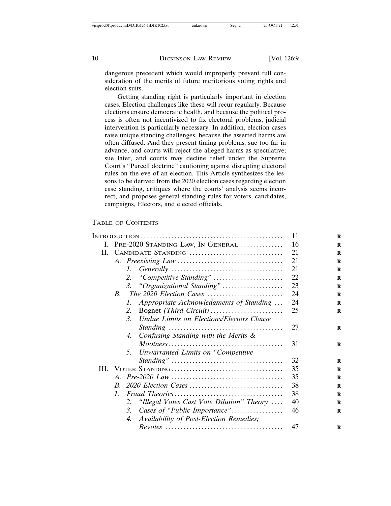dangerous precedent which would improperly prevent full consideration of the merits of future meritorious voting rights and election suits.

Getting standing right is particularly important in election cases. Election challenges like these will recur regularly. Because elections ensure democratic health, and because the political process is often not incentivized to fix electoral problems, judicial intervention is particularly necessary. In addition, election cases raise unique standing challenges, because the asserted harms are often diffused. And they present timing problems: sue too far in advance, and courts will reject the alleged harms as speculative; sue later, and courts may decline relief under the Supreme Court's "Purcell doctrine" cautioning against disrupting electoral rules on the eve of an election. This Article synthesizes the lessons to be derived from the 2020 election cases regarding election case standing, critiques where the courts' analysis seems incorrect, and proposes general standing rules for voters, candidates, campaigns, Electors, and elected officials.

## TABLE OF CONTENTS

|    | 11                                                                                                                   |    |
|----|----------------------------------------------------------------------------------------------------------------------|----|
| L. | PRE-2020 STANDING LAW, IN GENERAL                                                                                    | 16 |
| Н. | CANDIDATE STANDING                                                                                                   | 21 |
|    |                                                                                                                      | 21 |
|    | $\mathcal{I}$ .                                                                                                      | 21 |
|    | 2. "Competitive Standing"                                                                                            | 22 |
|    | "Organizational Standing"<br>3.                                                                                      | 23 |
|    | $B_{\cdot}$                                                                                                          | 24 |
|    | Appropriate Acknowledgments of Standing<br>$\mathcal{I}$ .                                                           | 24 |
|    | 2.                                                                                                                   | 25 |
|    | <b>Undue Limits on Elections/Electors Clause</b><br>$\mathcal{R}$                                                    |    |
|    |                                                                                                                      | 27 |
|    | Confusing Standing with the Merits &<br>4.                                                                           |    |
|    |                                                                                                                      | 31 |
|    | Unwarranted Limits on "Competitive"<br>5.                                                                            |    |
|    |                                                                                                                      | 32 |
|    |                                                                                                                      | 35 |
|    |                                                                                                                      | 35 |
|    |                                                                                                                      | 38 |
|    | $\textit{Fraud Theories} \dots \dots \dots \dots \dots \dots \dots \dots \dots \dots \dots \dots$<br>$\mathcal{I}$ . | 38 |
|    | "Illegal Votes Cast Vote Dilution" Theory<br>2.                                                                      | 40 |
|    | Cases of "Public Importance"<br>3.                                                                                   | 46 |
|    | Availability of Post-Election Remedies;<br>4.                                                                        |    |
|    |                                                                                                                      | 47 |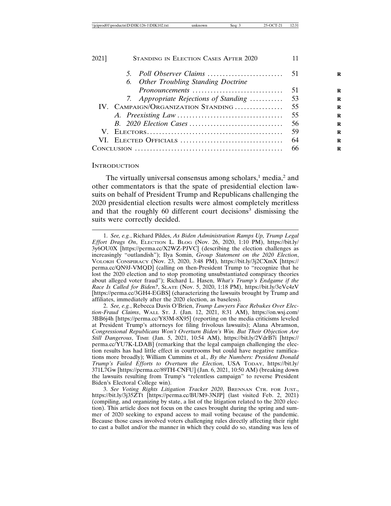| 2021] | <b>STANDING IN ELECTION CASES AFTER 2020</b> |                                        |     |
|-------|----------------------------------------------|----------------------------------------|-----|
|       |                                              |                                        |     |
|       |                                              | 6. Other Troubling Standing Doctrine   |     |
|       |                                              | Pronouncements                         | -51 |
|       |                                              | 7. Appropriate Rejections of Standing  | 53  |
|       |                                              | IV. CAMPAIGN/ORGANIZATION STANDING  55 |     |
|       |                                              |                                        | 55  |
|       |                                              |                                        | 56  |
|       |                                              | 59                                     |     |
|       |                                              |                                        | 64  |
|       | 66                                           |                                        |     |
|       |                                              |                                        |     |

#### **INTRODUCTION**

The virtually universal consensus among scholars, $1$  media, $2$  and other commentators is that the spate of presidential election lawsuits on behalf of President Trump and Republicans challenging the 2020 presidential election results were almost completely meritless and that the roughly 60 different court decisions<sup>3</sup> dismissing the suits were correctly decided.

2. *See, e.g.*, Rebecca Davis O'Brien, *Trump Lawyers Face Rebukes Over Election-Fraud Claims*, WALL ST. J. (Jan. 12, 2021, 8:31 AM), https://on.wsj.com/ 3BB6j4h [https://perma.cc/Y83M-8X95] (reporting on the media criticisms leveled at President Trump's attorneys for filing frivolous lawsuits); Alana Abramson, *Congressional Republicans Won't Overturn Biden's Win. But Their Objection Are Still Dangerous*, TIME (Jan. 5, 2021, 10:54 AM), https://bit.ly/2VdrB7i [https:// perma.cc/YU7K-LDAB] (remarking that the legal campaign challenging the election results has had little effect in courtrooms but could have negative ramifications more broadly); William Cummins et al., *By the Numbers: President Donald Trump's Failed Efforts to Overturn the Election*, USA TODAY, https://bit.ly/ 371L7Gw [https://perma.cc/89TH-CNFU] (Jan. 6, 2021, 10:50 AM) (breaking down the lawsuits resulting from Trump's "relentless campaign" to reverse President Biden's Electoral College win).

3. *See Voting Rights Litigation Tracker 2020*, BRENNAN CTR. FOR JUST., https://bit.ly/3j35ZTt [https://perma.cc/BUM9-3NJP] (last visited Feb. 2, 2021) (compiling, and organizing by state, a list of the litigation related to the 2020 election). This article does not focus on the cases brought during the spring and summer of 2020 seeking to expand access to mail voting because of the pandemic. Because those cases involved voters challenging rules directly affecting their right to cast a ballot and/or the manner in which they could do so, standing was less of

<sup>1.</sup> *See, e.g.*, Richard Pildes, *As Biden Administration Ramps Up, Trump Legal Effort Drags On*, ELECTION L. BLOG (Nov. 26, 2020, 1:10 PM), https://bit.ly/ 3y6OU0X [https://perma.cc/X2WZ-PJVC] (describing the election challenges as increasingly "outlandish"); Ilya Somin, *Group Statement on the 2020 Election*, VOLOKH CONSPIRACY (Nov. 23, 2020, 3:48 PM), https://bit.ly/3j2CXmX [https:// perma.cc/QN9J-VMQD] (calling on then-President Trump to "recognize that he lost the 2020 election and to stop promoting unsubstantiated conspiracy theories about alleged voter fraud"); Richard L. Hasen, *What's Trump's Endgame if the Race Is Called for Biden?*, SLATE (Nov. 5, 2020, 1:18 PM), https://bit.ly/3eVc4zV [https://perma.cc/3GH4-EGBS] (characterizing the lawsuits brought by Trump and affiliates, immediately after the 2020 election, as baseless).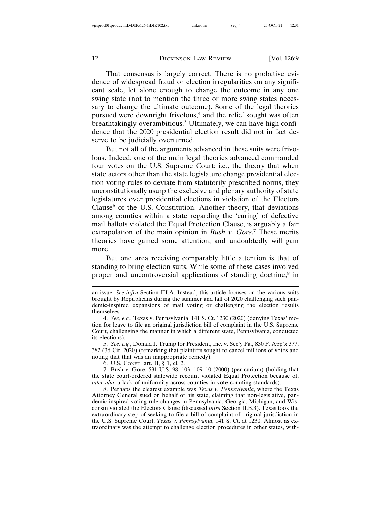That consensus is largely correct. There is no probative evidence of widespread fraud or election irregularities on any significant scale, let alone enough to change the outcome in any one swing state (not to mention the three or more swing states necessary to change the ultimate outcome). Some of the legal theories pursued were downright frivolous,<sup>4</sup> and the relief sought was often breathtakingly overambitious.<sup>5</sup> Ultimately, we can have high confidence that the 2020 presidential election result did not in fact deserve to be judicially overturned.

But not all of the arguments advanced in these suits were frivolous. Indeed, one of the main legal theories advanced commanded four votes on the U.S. Supreme Court: i.e., the theory that when state actors other than the state legislature change presidential election voting rules to deviate from statutorily prescribed norms, they unconstitutionally usurp the exclusive and plenary authority of state legislatures over presidential elections in violation of the Electors Clause<sup>6</sup> of the U.S. Constitution. Another theory, that deviations among counties within a state regarding the 'curing' of defective mail ballots violated the Equal Protection Clause, is arguably a fair extrapolation of the main opinion in *Bush v. Gore*.<sup>7</sup> These merits theories have gained some attention, and undoubtedly will gain more.

But one area receiving comparably little attention is that of standing to bring election suits. While some of these cases involved proper and uncontroversial applications of standing doctrine,<sup>8</sup> in

an issue. *See infra* Section III.A. Instead, this article focuses on the various suits brought by Republicans during the summer and fall of 2020 challenging such pandemic-inspired expansions of mail voting or challenging the election results themselves.

<sup>4.</sup> *See, e.g.*, Texas v. Pennsylvania, 141 S. Ct. 1230 (2020) (denying Texas' motion for leave to file an original jurisdiction bill of complaint in the U.S. Supreme Court, challenging the manner in which a different state, Pennsylvania, conducted its elections).

<sup>5.</sup> *See, e.g.*, Donald J. Trump for President, Inc. v. Sec'y Pa., 830 F. App'x 377, 382 (3d Cir. 2020) (remarking that plaintiffs sought to cancel millions of votes and noting that that was an inappropriate remedy).

<sup>6.</sup> U.S. CONST. art. II, § 1, cl. 2.

<sup>7.</sup> Bush v. Gore, 531 U.S. 98, 103, 109–10 (2000) (per curiam) (holding that the state court-ordered statewide recount violated Equal Protection because of, *inter alia*, a lack of uniformity across counties in vote-counting standards).

<sup>8.</sup> Perhaps the clearest example was *Texas v. Pennsylvania*, where the Texas Attorney General sued on behalf of his state, claiming that non-legislative, pandemic-inspired voting rule changes in Pennsylvania, Georgia, Michigan, and Wisconsin violated the Electors Clause (discussed *infra* Section II.B.3). Texas took the extraordinary step of seeking to file a bill of complaint of original jurisdiction in the U.S. Supreme Court. *Texas v. Pennsylvania*, 141 S. Ct. at 1230. Almost as extraordinary was the attempt to challenge election procedures in other states, with-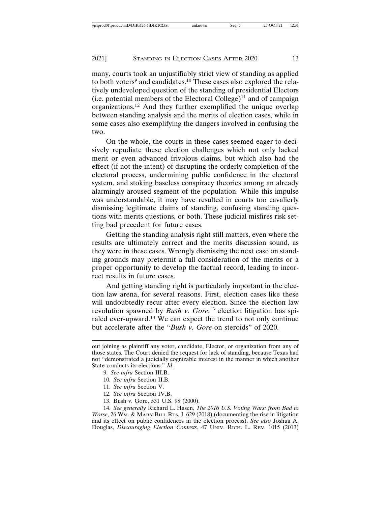many, courts took an unjustifiably strict view of standing as applied to both voters<sup>9</sup> and candidates.<sup>10</sup> These cases also explored the relatively undeveloped question of the standing of presidential Electors (i.e. potential members of the Electoral College)<sup>11</sup> and of campaign organizations.12 And they further exemplified the unique overlap between standing analysis and the merits of election cases, while in some cases also exemplifying the dangers involved in confusing the two.

On the whole, the courts in these cases seemed eager to decisively repudiate these election challenges which not only lacked merit or even advanced frivolous claims, but which also had the effect (if not the intent) of disrupting the orderly completion of the electoral process, undermining public confidence in the electoral system, and stoking baseless conspiracy theories among an already alarmingly aroused segment of the population. While this impulse was understandable, it may have resulted in courts too cavalierly dismissing legitimate claims of standing, confusing standing questions with merits questions, or both. These judicial misfires risk setting bad precedent for future cases.

Getting the standing analysis right still matters, even where the results are ultimately correct and the merits discussion sound, as they were in these cases. Wrongly dismissing the next case on standing grounds may pretermit a full consideration of the merits or a proper opportunity to develop the factual record, leading to incorrect results in future cases.

And getting standing right is particularly important in the election law arena, for several reasons. First, election cases like these will undoubtedly recur after every election. Since the election law revolution spawned by *Bush v. Gore*, 13 election litigation has spiraled ever-upward.14 We can expect the trend to not only continue but accelerate after the "*Bush v. Gore* on steroids" of 2020.

14. *See generally* Richard L. Hasen, *The 2016 U.S. Voting Wars: from Bad to Worse*, 26 WM. & MARY BILL RTS. J. 629 (2018) (documenting the rise in litigation and its effect on public confidences in the election process). *See also* Joshua A. Douglas, *Discouraging Election Contests*, 47 UNIV. RICH. L. REV. 1015 (2013)

out joining as plaintiff any voter, candidate, Elector, or organization from any of those states. The Court denied the request for lack of standing, because Texas had not "demonstrated a judicially cognizable interest in the manner in which another State conducts its elections." *Id*.

<sup>9.</sup> *See infra* Section III.B.

<sup>10.</sup> *See infra* Section II.B.

<sup>11.</sup> *See infra* Section V.

<sup>12.</sup> *See infra* Section IV.B.

<sup>13.</sup> Bush v. Gore, 531 U.S. 98 (2000).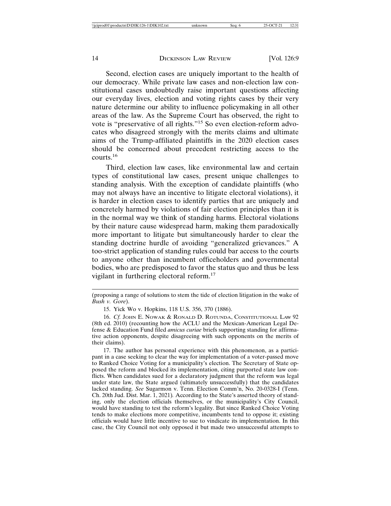Second, election cases are uniquely important to the health of our democracy. While private law cases and non-election law constitutional cases undoubtedly raise important questions affecting our everyday lives, election and voting rights cases by their very nature determine our ability to influence policymaking in all other areas of the law. As the Supreme Court has observed, the right to vote is "preservative of all rights."15 So even election-reform advocates who disagreed strongly with the merits claims and ultimate aims of the Trump-affiliated plaintiffs in the 2020 election cases should be concerned about precedent restricting access to the courts.16

Third, election law cases, like environmental law and certain types of constitutional law cases, present unique challenges to standing analysis. With the exception of candidate plaintiffs (who may not always have an incentive to litigate electoral violations), it is harder in election cases to identify parties that are uniquely and concretely harmed by violations of fair election principles than it is in the normal way we think of standing harms. Electoral violations by their nature cause widespread harm, making them paradoxically more important to litigate but simultaneously harder to clear the standing doctrine hurdle of avoiding "generalized grievances." A too-strict application of standing rules could bar access to the courts to anyone other than incumbent officeholders and governmental bodies, who are predisposed to favor the status quo and thus be less vigilant in furthering electoral reform.<sup>17</sup>

17. The author has personal experience with this phenomenon, as a participant in a case seeking to clear the way for implementation of a voter-passed move to Ranked Choice Voting for a municipality's election. The Secretary of State opposed the reform and blocked its implementation, citing purported state law conflicts. When candidates sued for a declaratory judgment that the reform was legal under state law, the State argued (ultimately unsuccessfully) that the candidates lacked standing. *See* Sugarmon v. Tenn. Election Comm'n, No. 20-0328-I (Tenn. Ch. 20th Jud. Dist. Mar. 1, 2021)*.* According to the State's asserted theory of standing, only the election officials themselves, or the municipality's City Council, would have standing to test the reform's legality. But since Ranked Choice Voting tends to make elections more competitive, incumbents tend to oppose it; existing officials would have little incentive to sue to vindicate its implementation. In this case, the City Council not only opposed it but made two unsuccessful attempts to

<sup>(</sup>proposing a range of solutions to stem the tide of election litigation in the wake of *Bush v. Gore*).

<sup>15.</sup> Yick Wo v. Hopkins, 118 U.S. 356, 370 (1886).

<sup>16.</sup> *Cf.* JOHN E. NOWAK & RONALD D. ROTUNDA, CONSTITUTIONAL LAW 92 (8th ed. 2010) (recounting how the ACLU and the Mexican-American Legal Defense & Education Fund filed *amicus curiae* briefs supporting standing for affirmative action opponents, despite disagreeing with such opponents on the merits of their claims).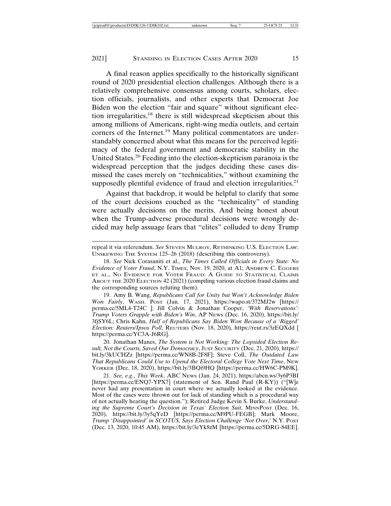A final reason applies specifically to the historically significant round of 2020 presidential election challenges. Although there is a relatively comprehensive consensus among courts, scholars, election officials, journalists, and other experts that Democrat Joe Biden won the election "fair and square" without significant election irregularities,18 there is still widespread skepticism about this among millions of Americans, right-wing media outlets, and certain corners of the Internet.<sup>19</sup> Many political commentators are understandably concerned about what this means for the perceived legitimacy of the federal government and democratic stability in the United States.20 Feeding into the election-skepticism paranoia is the widespread perception that the judges deciding these cases dismissed the cases merely on "technicalities," without examining the supposedly plentiful evidence of fraud and election irregularities.<sup>21</sup>

Against that backdrop, it would be helpful to clarify that some of the court decisions couched as the "technicality" of standing were actually decisions on the merits. And being honest about when the Trump-adverse procedural decisions were wrongly decided may help assuage fears that "elites" colluded to deny Trump

19. Amy B. Wang, *Republicans Call for Unity but Won't Acknowledge Biden Won Fairly*, WASH. POST (Jan. 17, 2021), https://wapo.st/372MJ2w [https:// perma.cc/5ML4-T24C ]; Jill Colvin & Jonathan Cooper, *'With Reservations': Trump Voters Grapple with Biden's Win*, AP NEWS (Dec. 16, 2020), https://bit.ly/ 3fjSY6L; Chris Kahn, *Half of Republicans Say Biden Won Because of a 'Rigged' Election: Reuters/Ipsos Poll*, REUTERS (Nov. 18, 2020), https://reut.rs/3zEQXdd [ https://perma.cc/YC3A-J6RG].

20. Jonathan Manes, *The System is Not Working: The Lopsided Election Result, Not the Courts, Saved Our Democracy*, JUST SECURITY (Dec. 21, 2020), https:// bit.ly/3kUCHZz [https://perma.cc/WN8B-2F8F]; Steve Coll, *The Outdated Law That Republicans Could Use to Upend the Electoral College Vote Next Time*, NEW YORKER (Dec. 18, 2020), https://bit.ly/3BQi9HQ [https://perma.cc/HW6C-PM9K].

21. *See, e.g.*, *This Week*, ABC NEWS (Jan. 24, 2021), https://abcn.ws/3y6P3BI [https://perma.cc/ENQ7-YPX7] (statement of Sen. Rand Paul (R-KY)) ("[W]e never had any presentation in court where we actually looked at the evidence. Most of the cases were thrown out for lack of standing which is a procedural way of not actually hearing the question."); Retired Judge Kevin S. Burke, *Understanding the Supreme Court's Decision in Texas' Election Suit*, MINNPOST (Dec. 16, 2020), https://bit.ly/3y5qYeD [https://perma.cc/M9PU-FEGB]; Mark Moore, *Trump 'Disappointed' in SCOTUS, Says Election Challenge 'Not Over*,' N.Y. POST (Dec. 13, 2020, 10:45 AM), https://bit.ly/3eYk8zM [https://perma.cc/5DRG-84EE].

repeal it via referendum. *See* STEVEN MULROY, RETHINKING U.S. ELECTION LAW: UNSKEWING THE SYSTEM 125–26 (2018) (describing this controversy).

<sup>18.</sup> *See* Nick Corasaniti et al., *The Times Called Officials in Every State: No Evidence of Voter Fraud*, N.Y. TIMES, Nov. 19, 2020, at A1; ANDREW C. EGGERS ET AL., NO EVIDENCE FOR VOTER FRAUD: A GUIDE TO STATISTICAL CLAIMS ABOUT THE 2020 ELECTION 42 (2021) (compiling various election fraud claims and the corresponding sources refuting them).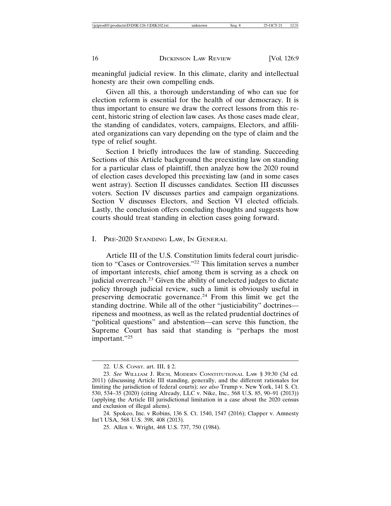meaningful judicial review. In this climate, clarity and intellectual honesty are their own compelling ends.

Given all this, a thorough understanding of who can sue for election reform is essential for the health of our democracy. It is thus important to ensure we draw the correct lessons from this recent, historic string of election law cases. As those cases made clear, the standing of candidates, voters, campaigns, Electors, and affiliated organizations can vary depending on the type of claim and the type of relief sought.

Section I briefly introduces the law of standing. Succeeding Sections of this Article background the preexisting law on standing for a particular class of plaintiff, then analyze how the 2020 round of election cases developed this preexisting law (and in some cases went astray). Section II discusses candidates. Section III discusses voters. Section IV discusses parties and campaign organizations. Section V discusses Electors, and Section VI elected officials. Lastly, the conclusion offers concluding thoughts and suggests how courts should treat standing in election cases going forward.

I. PRE-2020 STANDING LAW, IN GENERAL

Article III of the U.S. Constitution limits federal court jurisdiction to "Cases or Controversies."22 This limitation serves a number of important interests, chief among them is serving as a check on judicial overreach.23 Given the ability of unelected judges to dictate policy through judicial review, such a limit is obviously useful in preserving democratic governance.24 From this limit we get the standing doctrine. While all of the other "justiciability" doctrines ripeness and mootness, as well as the related prudential doctrines of "political questions" and abstention—can serve this function, the Supreme Court has said that standing is "perhaps the most important."<sup>25</sup>

<sup>22.</sup> U.S. CONST. art. III, § 2.

<sup>23.</sup> *See* WILLIAM J. RICH, MODERN CONSTITUTIONAL LAW § 39:30 (3d ed. 2011) (discussing Article III standing, generally, and the different rationales for limiting the jurisdiction of federal courts); *see also* Trump v. New York, 141 S. Ct. 530, 534–35 (2020) (citing Already, LLC v. Nike, Inc., 568 U.S. 85, 90–91 (2013)) (applying the Article III jurisdictional limitation in a case about the 2020 census and exclusion of illegal aliens).

<sup>24.</sup> Spokeo, Inc. v Robins, 136 S. Ct. 1540, 1547 (2016); Clapper v. Amnesty Int'l USA, 568 U.S. 398, 408 (2013).

<sup>25.</sup> Allen v. Wright, 468 U.S. 737, 750 (1984).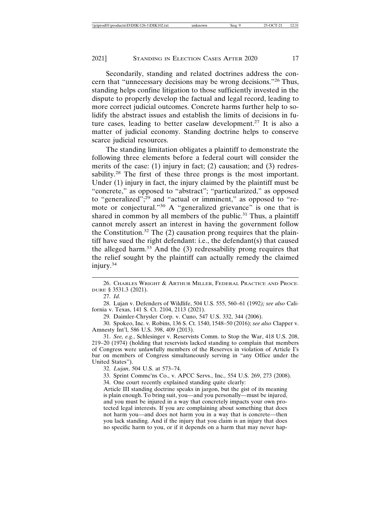Secondarily, standing and related doctrines address the concern that "unnecessary decisions may be wrong decisions."26 Thus, standing helps confine litigation to those sufficiently invested in the dispute to properly develop the factual and legal record, leading to more correct judicial outcomes. Concrete harms further help to solidify the abstract issues and establish the limits of decisions in future cases, leading to better caselaw development.27 It is also a matter of judicial economy. Standing doctrine helps to conserve scarce judicial resources.

The standing limitation obligates a plaintiff to demonstrate the following three elements before a federal court will consider the merits of the case: (1) injury in fact; (2) causation; and (3) redressability.<sup>28</sup> The first of these three prongs is the most important. Under (1) injury in fact, the injury claimed by the plaintiff must be "concrete," as opposed to "abstract"; "particularized," as opposed to "generalized";<sup>29</sup> and "actual or imminent," as opposed to "remote or conjectural."<sup>30</sup> A "generalized grievance" is one that is shared in common by all members of the public.<sup>31</sup> Thus, a plaintiff cannot merely assert an interest in having the government follow the Constitution.<sup>32</sup> The  $(2)$  causation prong requires that the plaintiff have sued the right defendant: i.e., the defendant(s) that caused the alleged harm. $33$  And the  $(3)$  redressability prong requires that the relief sought by the plaintiff can actually remedy the claimed injury.34

27. *Id.*

28. Lujan v. Defenders of Wildlife, 504 U.S. 555, 560–61 (1992*); see also* California v. Texas, 141 S. Ct. 2104, 2113 (2021).

29. Daimler-Chrysler Corp. v. Cuno, 547 U.S. 332, 344 (2006).

30. Spokeo, Inc. v. Robins, 136 S. Ct. 1540, 1548–50 (2016); *see also* Clapper v. Amnesty Int'l, 586 U.S. 398, 409 (2013).

31. *See, e.g.*, Schlesinger v. Reservists Comm. to Stop the War, 418 U.S. 208, 219–20 (1974) (holding that reservists lacked standing to complain that members of Congress were unlawfully members of the Reserves in violation of Article I's bar on members of Congress simultaneously serving in "any Office under the United States").

32. *Lujan*, 504 U.S. at 573–74.

33. Sprint Commc'ns Co., v. APCC Servs., Inc., 554 U.S. 269, 273 (2008).

34. One court recently explained standing quite clearly:

Article III standing doctrine speaks in jargon, but the gist of its meaning is plain enough. To bring suit, you—and you personally—must be injured, and you must be injured in a way that concretely impacts your own protected legal interests. If you are complaining about something that does not harm you—and does not harm you in a way that is concrete—then you lack standing. And if the injury that you claim is an injury that does no specific harm to you, or if it depends on a harm that may never hap-

<sup>26.</sup> CHARLES WRIGHT & ARTHUR MILLER, FEDERAL PRACTICE AND PROCE-DURE § 3531.3 (2021).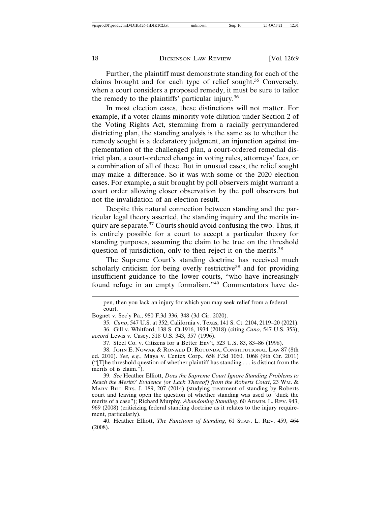Further, the plaintiff must demonstrate standing for each of the claims brought and for each type of relief sought.35 Conversely, when a court considers a proposed remedy, it must be sure to tailor the remedy to the plaintiffs' particular injury.<sup>36</sup>

In most election cases, these distinctions will not matter. For example, if a voter claims minority vote dilution under Section 2 of the Voting Rights Act, stemming from a racially gerrymandered districting plan, the standing analysis is the same as to whether the remedy sought is a declaratory judgment, an injunction against implementation of the challenged plan, a court-ordered remedial district plan, a court-ordered change in voting rules, attorneys' fees, or a combination of all of these. But in unusual cases, the relief sought may make a difference. So it was with some of the 2020 election cases. For example, a suit brought by poll observers might warrant a court order allowing closer observation by the poll observers but not the invalidation of an election result.

Despite this natural connection between standing and the particular legal theory asserted, the standing inquiry and the merits inquiry are separate.<sup>37</sup> Courts should avoid confusing the two. Thus, it is entirely possible for a court to accept a particular theory for standing purposes, assuming the claim to be true on the threshold question of jurisdiction, only to then reject it on the merits.<sup>38</sup>

The Supreme Court's standing doctrine has received much scholarly criticism for being overly restrictive<sup>39</sup> and for providing insufficient guidance to the lower courts, "who have increasingly found refuge in an empty formalism."40 Commentators have de-

35. *Cuno*, 547 U.S. at 352; California v. Texas, 141 S. Ct. 2104, 2119–20 (2021).

37. Steel Co. v. Citizens for a Better Env't, 523 U.S. 83, 83–86 (1998).

38. JOHN E. NOWAK & RONALD D. ROTUNDA, CONSTITUTIONAL LAW 87 (8th ed. 2010). *See, e.g.*, Maya v. Centex Corp., 658 F.3d 1060, 1068 (9th Cir. 2011) ("[T]he threshold question of whether plaintiff has standing . . . is distinct from the merits of is claim.").

39. *See* Heather Elliott, *Does the Supreme Court Ignore Standing Problems to Reach the Merits? Evidence (or Lack Thereof) from the Roberts Court*, 23 WM. & MARY BILL RTS. J. 189, 207 (2014) (studying treatment of standing by Roberts court and leaving open the question of whether standing was used to "duck the merits of a case"); Richard Murphy, *Abandoning Standing*, 60 ADMIN. L. REV. 943, 969 (2008) (criticizing federal standing doctrine as it relates to the injury requirement, particularly).

40. Heather Elliott, *The Functions of Standing*, 61 STAN. L. REV. 459, 464 (2008).

pen, then you lack an injury for which you may seek relief from a federal court.

Bognet v. Sec'y Pa., 980 F.3d 336, 348 (3d Cir. 2020).

<sup>36.</sup> Gill v. Whitford, 138 S. Ct.1916, 1934 (2018) (citing *Cuno*, 547 U.S. 353); *accord* Lewis v. Casey, 518 U.S. 343, 357 (1996).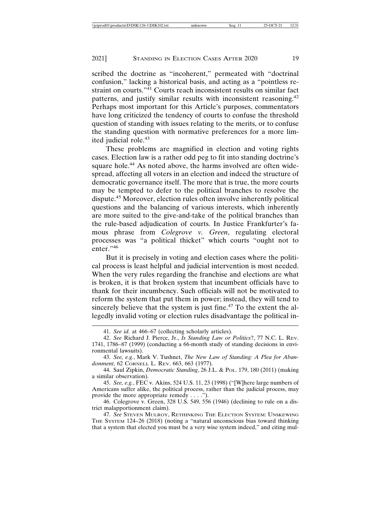scribed the doctrine as "incoherent," permeated with "doctrinal confusion," lacking a historical basis, and acting as a "pointless restraint on courts."<sup>41</sup> Courts reach inconsistent results on similar fact patterns, and justify similar results with inconsistent reasoning.<sup>42</sup> Perhaps most important for this Article's purposes, commentators have long criticized the tendency of courts to confuse the threshold question of standing with issues relating to the merits, or to confuse the standing question with normative preferences for a more limited judicial role.<sup>43</sup>

These problems are magnified in election and voting rights cases. Election law is a rather odd peg to fit into standing doctrine's square hole.<sup>44</sup> As noted above, the harms involved are often widespread, affecting all voters in an election and indeed the structure of democratic governance itself. The more that is true, the more courts may be tempted to defer to the political branches to resolve the dispute.45 Moreover, election rules often involve inherently political questions and the balancing of various interests, which inherently are more suited to the give-and-take of the political branches than the rule-based adjudication of courts. In Justice Frankfurter's famous phrase from *Colegrove v. Green*, regulating electoral processes was "a political thicket" which courts "ought not to enter."46

But it is precisely in voting and election cases where the political process is least helpful and judicial intervention is most needed. When the very rules regarding the franchise and elections are what is broken, it is that broken system that incumbent officials have to thank for their incumbency. Such officials will not be motivated to reform the system that put them in power; instead, they will tend to sincerely believe that the system is just fine.<sup>47</sup> To the extent the allegedly invalid voting or election rules disadvantage the political in-

<sup>41.</sup> *See id.* at 466–67 (collecting scholarly articles).

<sup>42.</sup> *See* Richard J. Pierce, Jr., *Is Standing Law or Politics*?, 77 N.C. L. REV. 1741, 1786–87 (1999) (conducting a 66-month study of standing decisions in environmental lawsuits).

<sup>43.</sup> *See, e.g.*, Mark V. Tushnet, *The New Law of Standing: A Plea for Abandonment*, 62 CORNELL L. REV. 663, 663 (1977).

<sup>44.</sup> Saul Zipkin, *Democratic Standing*, 26 J.L. & POL. 179, 180 (2011) (making a similar observation).

<sup>45.</sup> *See, e.g.*, FEC v. Akins, 524 U.S. 11, 23 (1998) ("[W]here large numbers of Americans suffer alike, the political process, rather than the judicial process, may provide the more appropriate remedy . . . .").

<sup>46.</sup> Colegrove v. Green, 328 U.S. 549, 556 (1946) (declining to rule on a district malapportionment claim).

<sup>47.</sup> *See* STEVEN MULROY, RETHINKING THE ELECTION SYSTEM: UNSKEWING THE SYSTEM 124–26 (2018) (noting a "natural unconscious bias toward thinking that a system that elected you must be a very wise system indeed," and citing mul-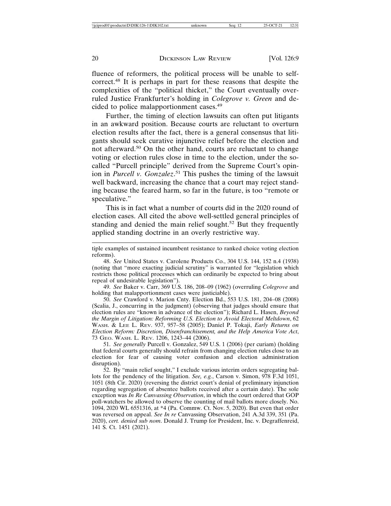fluence of reformers, the political process will be unable to selfcorrect.48 It is perhaps in part for these reasons that despite the complexities of the "political thicket," the Court eventually overruled Justice Frankfurter's holding in *Colegrove v. Green* and decided to police malapportionment cases.<sup>49</sup>

Further, the timing of election lawsuits can often put litigants in an awkward position. Because courts are reluctant to overturn election results after the fact, there is a general consensus that litigants should seek curative injunctive relief before the election and not afterward.<sup>50</sup> On the other hand, courts are reluctant to change voting or election rules close in time to the election, under the socalled "Purcell principle" derived from the Supreme Court's opinion in *Purcell v. Gonzalez*. 51 This pushes the timing of the lawsuit well backward, increasing the chance that a court may reject standing because the feared harm, so far in the future, is too "remote or speculative."

This is in fact what a number of courts did in the 2020 round of election cases. All cited the above well-settled general principles of standing and denied the main relief sought.<sup>52</sup> But they frequently applied standing doctrine in an overly restrictive way.

tiple examples of sustained incumbent resistance to ranked choice voting election reforms).

49. *See* Baker v. Carr, 369 U.S. 186, 208–09 (1962) (overruling *Colegrove* and holding that malapportionment cases were justiciable).

50. *See* Crawford v. Marion Cnty. Election Bd., 553 U.S. 181, 204–08 (2008) (Scalia, J., concurring in the judgment) (observing that judges should ensure that election rules are "known in advance of the election"); Richard L. Hasen, *Beyond the Margin of Litigation: Reforming U.S. Election to Avoid Electoral Meltdown*, 62 WASH. & LEE L. REV. 937, 957–58 (2005); Daniel P. Tokaji, *Early Returns on Election Reform: Discretion, Disenfranchisement, and the Help America Vote Act*, 73 GEO. WASH. L. REV. 1206, 1243–44 (2006).

51. *See generally* Purcell v. Gonzalez, 549 U.S. 1 (2006) (per curiam) (holding that federal courts generally should refrain from changing election rules close to an election for fear of causing voter confusion and election administration disruption).

52. By "main relief sought," I exclude various interim orders segregating ballots for the pendency of the litigation. *See, e.g.*, Carson v. Simon, 978 F.3d 1051, 1051 (8th Cir. 2020) (reversing the district court's denial of preliminary injunction regarding segregation of absentee ballots received after a certain date). The sole exception was *In Re Canvassing Observation*, in which the court ordered that GOP poll-watchers be allowed to observe the counting of mail ballots more closely. No. 1094, 2020 WL 6551316, at \*4 (Pa. Commw. Ct. Nov. 5, 2020). But even that order was reversed on appeal. *See In re* Canvassing Observation, 241 A.3d 339, 351 (Pa. 2020), *cert. denied sub nom*. Donald J. Trump for President, Inc. v. Degraffenreid, 141 S. Ct. 1451 (2021).

<sup>48.</sup> *See* United States v. Carolene Products Co., 304 U.S. 144, 152 n.4 (1938) (noting that "more exacting judicial scrutiny" is warranted for "legislation which restricts those political processes which can ordinarily be expected to bring about repeal of undesirable legislation").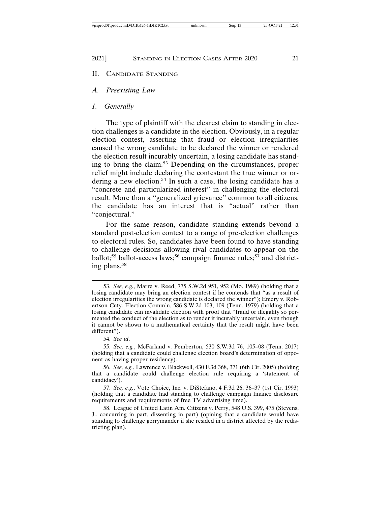#### 2021] STANDING IN ELECTION CASES AFTER 2020 21

#### II. CANDIDATE STANDING

#### *A. Preexisting Law*

#### *1. Generally*

The type of plaintiff with the clearest claim to standing in election challenges is a candidate in the election. Obviously, in a regular election contest, asserting that fraud or election irregularities caused the wrong candidate to be declared the winner or rendered the election result incurably uncertain, a losing candidate has standing to bring the claim.53 Depending on the circumstances, proper relief might include declaring the contestant the true winner or ordering a new election.<sup>54</sup> In such a case, the losing candidate has a "concrete and particularized interest" in challenging the electoral result. More than a "generalized grievance" common to all citizens, the candidate has an interest that is "actual" rather than "conjectural."

For the same reason, candidate standing extends beyond a standard post-election contest to a range of pre-election challenges to electoral rules. So, candidates have been found to have standing to challenge decisions allowing rival candidates to appear on the ballot;<sup>55</sup> ballot-access laws;<sup>56</sup> campaign finance rules;<sup>57</sup> and districting plans.58

54. *See id*.

55. *See, e.g.*, McFarland v. Pemberton, 530 S.W.3d 76, 105–08 (Tenn. 2017) (holding that a candidate could challenge election board's determination of opponent as having proper residency).

<sup>53.</sup> *See, e.g.*, Marre v. Reed, 775 S.W.2d 951, 952 (Mo. 1989) (holding that a losing candidate may bring an election contest if he contends that "as a result of election irregularities the wrong candidate is declared the winner"); Emery v. Robertson Cnty. Election Comm'n, 586 S.W.2d 103, 109 (Tenn. 1979) (holding that a losing candidate can invalidate election with proof that "fraud or illegality so permeated the conduct of the election as to render it incurably uncertain, even though it cannot be shown to a mathematical certainty that the result might have been different").

<sup>56.</sup> *See, e.g.*, Lawrence v. Blackwell, 430 F.3d 368, 371 (6th Cir. 2005) (holding that a candidate could challenge election rule requiring a 'statement of candidacy').

<sup>57.</sup> *See, e.g.*, Vote Choice, Inc. v. DiStefano, 4 F.3d 26, 36–37 (1st Cir. 1993) (holding that a candidate had standing to challenge campaign finance disclosure requirements and requirements of free TV advertising time).

<sup>58.</sup> League of United Latin Am. Citizens v. Perry, 548 U.S. 399, 475 (Stevens, J., concurring in part, dissenting in part) (opining that a candidate would have standing to challenge gerrymander if she resided in a district affected by the redistricting plan).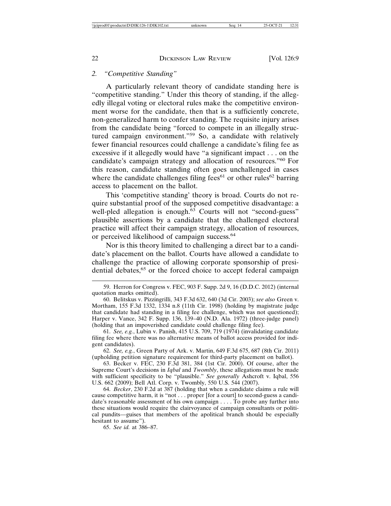## *2. "Competitive Standing"*

A particularly relevant theory of candidate standing here is "competitive standing." Under this theory of standing, if the allegedly illegal voting or electoral rules make the competitive environment worse for the candidate, then that is a sufficiently concrete, non-generalized harm to confer standing. The requisite injury arises from the candidate being "forced to compete in an illegally structured campaign environment."59 So, a candidate with relatively fewer financial resources could challenge a candidate's filing fee as excessive if it allegedly would have "a significant impact . . . on the candidate's campaign strategy and allocation of resources."60 For this reason, candidate standing often goes unchallenged in cases where the candidate challenges filing fees<sup>61</sup> or other rules<sup>62</sup> barring access to placement on the ballot.

This 'competitive standing' theory is broad. Courts do not require substantial proof of the supposed competitive disadvantage: a well-pled allegation is enough.<sup>63</sup> Courts will not "second-guess" plausible assertions by a candidate that the challenged electoral practice will affect their campaign strategy, allocation of resources, or perceived likelihood of campaign success.<sup>64</sup>

Nor is this theory limited to challenging a direct bar to a candidate's placement on the ballot. Courts have allowed a candidate to challenge the practice of allowing corporate sponsorship of presidential debates,<sup>65</sup> or the forced choice to accept federal campaign

62. *See, e.g.*, Green Party of Ark. v. Martin, 649 F.3d 675, 687 (8th Cir. 2011) (upholding petition signature requirement for third-party placement on ballot).

63. Becker v. FEC, 230 F.3d 381, 384 (1st Cir. 2000). Of course, after the Supreme Court's decisions in *Iqbal* and *Twombly*, these allegations must be made with sufficient specificity to be "plausible." *See generally* Ashcroft v. Iqbal, 556 U.S. 662 (2009); Bell Atl. Corp. v. Twombly, 550 U.S. 544 (2007).

64. *Becker*, 230 F.2d at 387 (holding that when a candidate claims a rule will cause competitive harm, it is "not . . . proper [for a court] to second-guess a candidate's reasonable assessment of his own campaign . . . . To probe any further into these situations would require the clairvoyance of campaign consultants or political pundits—guises that members of the apolitical branch should be especially hesitant to assume").

65. *See id.* at 386–87.

<sup>59.</sup> Herron for Congress v. FEC, 903 F. Supp. 2d 9, 16 (D.D.C. 2012) (internal quotation marks omitted).

<sup>60.</sup> Belitskus v. Pizzingrilli, 343 F.3d 632, 640 (3d Cir. 2003); *see also* Green v. Mortham, 155 F.3d 1332, 1334 n.8 (11th Cir. 1998) (holding by magistrate judge that candidate had standing in a filing fee challenge, which was not questioned); Harper v. Vance, 342 F. Supp. 136, 139–40 (N.D. Ala. 1972) (three-judge panel) (holding that an impoverished candidate could challenge filing fee).

<sup>61.</sup> *See, e.g.*, Lubin v. Panish, 415 U.S. 709, 719 (1974) (invalidating candidate filing fee where there was no alternative means of ballot access provided for indigent candidates).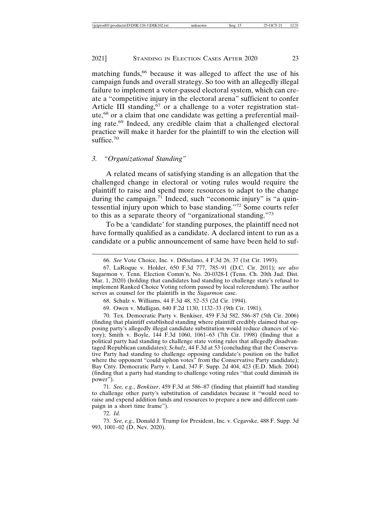matching funds,<sup>66</sup> because it was alleged to affect the use of his campaign funds and overall strategy. So too with an allegedly illegal failure to implement a voter-passed electoral system, which can create a "competitive injury in the electoral arena" sufficient to confer Article III standing, $67$  or a challenge to a voter registration statute,<sup>68</sup> or a claim that one candidate was getting a preferential mailing rate.69 Indeed, any credible claim that a challenged electoral practice will make it harder for the plaintiff to win the election will suffice. $70$ 

### *3. "Organizational Standing"*

A related means of satisfying standing is an allegation that the challenged change in electoral or voting rules would require the plaintiff to raise and spend more resources to adapt to the change during the campaign.<sup>71</sup> Indeed, such "economic injury" is "a quintessential injury upon which to base standing."72 Some courts refer to this as a separate theory of "organizational standing."<sup>73</sup>

To be a 'candidate' for standing purposes, the plaintiff need not have formally qualified as a candidate. A declared intent to run as a candidate or a public announcement of same have been held to suf-

68. Schulz v. Williams, 44 F.3d 48, 52–53 (2d Cir. 1994).

69. Owen v. Mulligan, 640 F.2d 1130, 1132–33 (9th Cir. 1981).

70. Tex. Democratic Party v. Benkiser, 459 F.3d 582, 586–87 (5th Cir. 2006) (finding that plaintiff established standing where plaintiff credibly claimed that opposing party's allegedly illegal candidate substitution would reduce chances of victory); Smith v. Boyle, 144 F.3d 1060, 1061–63 (7th Cir. 1998) (finding that a political party had standing to challenge state voting rules that allegedly disadvantaged Republican candidates); *Schulz*, 44 F.3d at 53 (concluding that the Conservative Party had standing to challenge opposing candidate's position on the ballot where the opponent "could siphon votes" from the Conservative Party candidate); Bay Cnty. Democratic Party v. Land, 347 F. Supp. 2d 404, 423 (E.D. Mich. 2004) (finding that a party had standing to challenge voting rules "that could diminish its power").

71. *See, e.g.*, *Benkiser*, 459 F.3d at 586–87 (finding that plaintiff had standing to challenge other party's substitution of candidates because it "would need to raise and expend addition funds and resources to prepare a new and different campaign in a short time frame").

72. *Id.*

73. *See, e.g.*, Donald J. Trump for President, Inc. v. Cegavske, 488 F. Supp. 3d 993, 1001–02 (D. Nev. 2020).

<sup>66.</sup> *See* Vote Choice, Inc. v. DiStefano, 4 F.3d 26, 37 (1st Cir. 1993).

<sup>67.</sup> LaRoque v. Holder, 650 F.3d 777, 785–91 (D.C. Cir. 2011); *see also* Sugarmon v. Tenn. Election Comm'n, No. 20-0328-I (Tenn. Ch. 20th Jud. Dist. Mar. 1, 2020) (holding that candidates had standing to challenge state's refusal to implement Ranked Choice Voting reform passed by local referendum). The author serves as counsel for the plaintiffs in the *Sugarmon* case.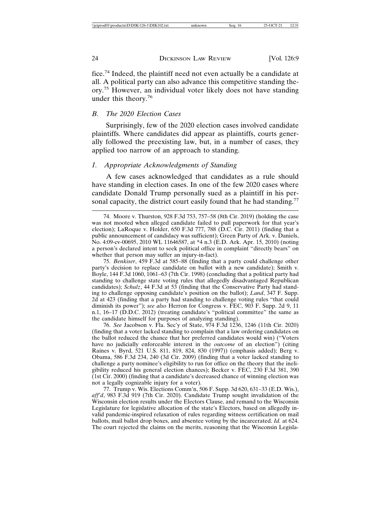fice.74 Indeed, the plaintiff need not even actually be a candidate at all. A political party can also advance this competitive standing theory.75 However, an individual voter likely does not have standing under this theory.<sup>76</sup>

## *B. The 2020 Election Cases*

Surprisingly, few of the 2020 election cases involved candidate plaintiffs. Where candidates did appear as plaintiffs, courts generally followed the preexisting law, but, in a number of cases, they applied too narrow of an approach to standing.

## *1. Appropriate Acknowledgments of Standing*

A few cases acknowledged that candidates as a rule should have standing in election cases. In one of the few 2020 cases where candidate Donald Trump personally sued as a plaintiff in his personal capacity, the district court easily found that he had standing.<sup>77</sup>

75. *Benkiser*, 459 F.3d at 585–88 (finding that a party could challenge other party's decision to replace candidate on ballot with a new candidate); Smith v. Boyle, 144 F.3d 1060, 1061–63 (7th Cir. 1998) (concluding that a political party had standing to challenge state voting rules that allegedly disadvantaged Republican candidates); *Schulz*, 44 F.3d at 53 (finding that the Conservative Party had standing to challenge opposing candidate's position on the ballot); *Land*, 347 F. Supp. 2d at 423 (finding that a party had standing to challenge voting rules "that could diminish its power"); *see also* Herron for Congress v. FEC, 903 F. Supp. 2d 9, 11 n.1, 16–17 (D.D.C. 2012) (treating candidate's "political committee" the same as the candidate himself for purposes of analyzing standing).

76. *See* Jacobson v. Fla. Sec'y of State, 974 F.3d 1236, 1246 (11th Cir. 2020) (finding that a voter lacked standing to complain that a law ordering candidates on the ballot reduced the chance that her preferred candidates would win) ("Voters have no judicially enforceable interest in the *outcome* of an election") (citing Raines v. Byrd, 521 U.S. 811, 819, 824, 830 (1997)) (emphasis added); Berg v. Obama, 586 F.3d 234, 240 (3d Cir. 2009) (finding that a voter lacked standing to challenge a party nominee's eligibility to run for office on the theory that the ineligibility reduced his general election chances); Becker v. FEC, 230 F.3d 381, 390 (1st Cir. 2000) (finding that a candidate's decreased chance of winning election was not a legally cognizable injury for a voter).

77. Trump v. Wis. Elections Comm'n, 506 F. Supp. 3d 620, 631–33 (E.D. Wis.), *aff'd*, 983 F.3d 919 (7th Cir. 2020). Candidate Trump sought invalidation of the Wisconsin election results under the Electors Clause, and remand to the Wisconsin Legislature for legislative allocation of the state's Electors, based on allegedly invalid pandemic-inspired relaxation of rules regarding witness certification on mail ballots, mail ballot drop boxes, and absentee voting by the incarcerated. *Id.* at 624. The court rejected the claims on the merits, reasoning that the Wisconsin Legisla-

<sup>74.</sup> Moore v. Thurston, 928 F.3d 753, 757–58 (8th Cir. 2019) (holding the case was not mooted when alleged candidate failed to pull paperwork for that year's election); LaRoque v. Holder, 650 F.3d 777, 788 (D.C. Cir. 2011) (finding that a public announcement of candidacy was sufficient); Green Party of Ark. v. Daniels, No. 4:09-cv-00695, 2010 WL 11646587, at \*4 n.3 (E.D. Ark. Apr. 15, 2010) (noting a person's declared intent to seek political office in complaint "directly bears" on whether that person may suffer an injury-in-fact).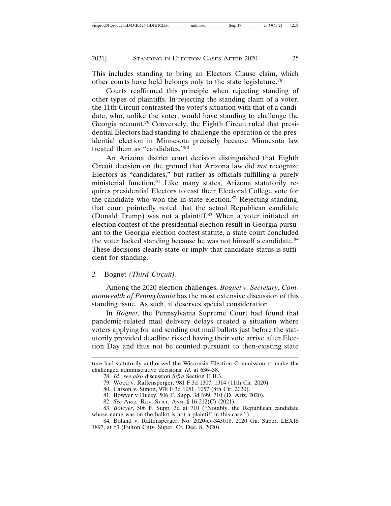This includes standing to bring an Electors Clause claim, which other courts have held belongs only to the state legislature.<sup>78</sup>

Courts reaffirmed this principle when rejecting standing of other types of plaintiffs. In rejecting the standing claim of a voter, the 11th Circuit contrasted the voter's situation with that of a candidate, who, unlike the voter, would have standing to challenge the Georgia recount.79 Conversely, the Eighth Circuit ruled that presidential Electors had standing to challenge the operation of the presidential election in Minnesota precisely because Minnesota law treated them as "candidates."<sup>80</sup>

An Arizona district court decision distinguished that Eighth Circuit decision on the ground that Arizona law did *not* recognize Electors as "candidates," but rather as officials fulfilling a purely ministerial function.81 Like many states, Arizona statutorily requires presidential Electors to cast their Electoral College vote for the candidate who won the in-state election.<sup>82</sup> Rejecting standing, that court pointedly noted that the actual Republican candidate (Donald Trump) was not a plaintiff.<sup>83</sup> When a voter initiated an election contest of the presidential election result in Georgia pursuant to the Georgia election contest statute, a state court concluded the voter lacked standing because he was not himself a candidate.<sup>84</sup> These decisions clearly state or imply that candidate status is sufficient for standing.

### *2.* Bognet *(Third Circuit).*

Among the 2020 election challenges, *Bognet v. Secretary, Commonwealth of Pennsylvania* has the most extensive discussion of this standing issue. As such, it deserves special consideration.

In *Bognet*, the Pennsylvania Supreme Court had found that pandemic-related mail delivery delays created a situation where voters applying for and sending out mail ballots just before the statutorily provided deadline risked having their vote arrive after Election Day and thus not be counted pursuant to then-existing state

ture had statutorily authorized the Wisconsin Election Commission to make the challenged administrative decisions. *Id.* at 636–38.

<sup>78.</sup> *Id.*; *see also* discussion *infra* Section II.B.3.

<sup>79.</sup> Wood v. Raffensperger, 981 F.3d 1307, 1314 (11th Cir. 2020).

<sup>80.</sup> Carson v. Simon, 978 F.3d 1051, 1057 (8th Cir. 2020).

<sup>81.</sup> Bowyer v Ducey, 506 F. Supp. 3d 699, 710 (D. Ariz. 2020).

<sup>82.</sup> *See* ARIZ. REV. STAT. ANN. § 16-212(C) (2021).

<sup>83.</sup> *Bowyer*, 506 F. Supp. 3d at 710 ("Notably, the Republican candidate whose name was on the ballot is not a plaintiff in this case.").

<sup>84.</sup> Boland v. Raffensperger, No. 2020-cv-343018, 2020 Ga. Super. LEXIS 1897, at \*3 (Fulton Cnty. Super. Ct. Dec. 8, 2020).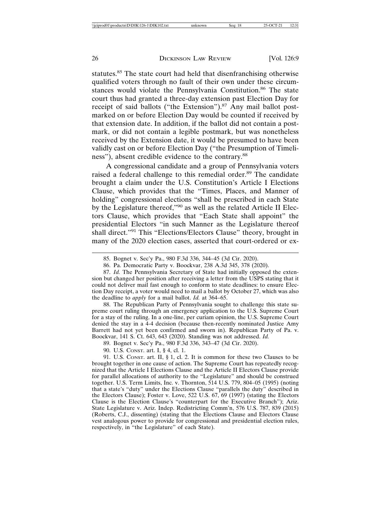statutes.<sup>85</sup> The state court had held that disenfranchising otherwise qualified voters through no fault of their own under these circumstances would violate the Pennsylvania Constitution.<sup>86</sup> The state court thus had granted a three-day extension past Election Day for receipt of said ballots ("the Extension").<sup>87</sup> Any mail ballot postmarked on or before Election Day would be counted if received by that extension date. In addition, if the ballot did not contain a postmark, or did not contain a legible postmark, but was nonetheless received by the Extension date, it would be presumed to have been validly cast on or before Election Day ("the Presumption of Timeliness"), absent credible evidence to the contrary.<sup>88</sup>

A congressional candidate and a group of Pennsylvania voters raised a federal challenge to this remedial order.<sup>89</sup> The candidate brought a claim under the U.S. Constitution's Article I Elections Clause, which provides that the "Times, Places, and Manner of holding" congressional elections "shall be prescribed in each State by the Legislature thereof,"90 as well as the related Article II Electors Clause, which provides that "Each State shall appoint" the presidential Electors "in such Manner as the Legislature thereof shall direct."<sup>91</sup> This "Elections/Electors Clause" theory, brought in many of the 2020 election cases, asserted that court-ordered or ex-

88. The Republican Party of Pennsylvania sought to challenge this state supreme court ruling through an emergency application to the U.S. Supreme Court for a stay of the ruling. In a one-line, per curiam opinion, the U.S. Supreme Court denied the stay in a 4-4 decision (because then-recently nominated Justice Amy Barrett had not yet been confirmed and sworn in). Republican Party of Pa. v. Boockvar, 141 S. Ct. 643, 643 (2020). Standing was not addressed. *Id.*

89. Bognet v. Sec'y Pa., 980 F.3d 336, 343–47 (3d Cir. 2020).

90. U.S. CONST. art. I, § 4, cl. 1.

91. U.S. CONST. art. II, § 1, cl. 2. It is common for these two Clauses to be brought together in one cause of action. The Supreme Court has repeatedly recognized that the Article I Elections Clause and the Article II Electors Clause provide for parallel allocations of authority to the "Legislature" and should be construed together. U.S. Term Limits, Inc. v. Thornton, 514 U.S. 779, 804–05 (1995) (noting that a state's "duty" under the Elections Clause "parallels the duty" described in the Electors Clause); Foster v. Love, 522 U.S. 67, 69 (1997) (stating the Electors Clause is the Election Clause's "counterpart for the Executive Branch"); Ariz. State Legislature v. Ariz. Indep. Redistricting Comm'n, 576 U.S. 787, 839 (2015) (Roberts, C.J., dissenting) (stating that the Elections Clause and Electors Clause vest analogous power to provide for congressional and presidential election rules, respectively, in "the Legislature" of each State).

<sup>85.</sup> Bognet v. Sec'y Pa., 980 F.3d 336, 344–45 (3d Cir. 2020).

<sup>86.</sup> Pa. Democratic Party v. Boockvar, 238 A.3d 345, 378 (2020).

<sup>87.</sup> *Id.* The Pennsylvania Secretary of State had initially opposed the extension but changed her position after receiving a letter from the USPS stating that it could not deliver mail fast enough to conform to state deadlines: to ensure Election Day receipt, a voter would need to mail a ballot by October 27, which was also the deadline to *apply* for a mail ballot. *Id.* at 364–65.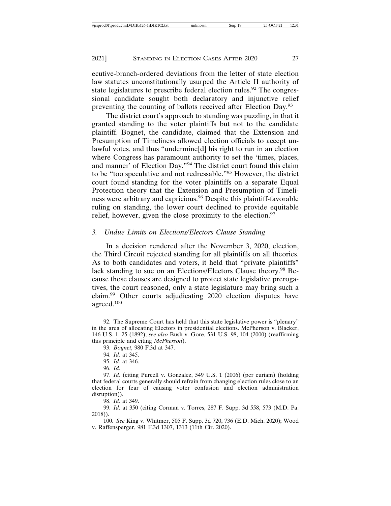ecutive-branch-ordered deviations from the letter of state election law statutes unconstitutionally usurped the Article II authority of state legislatures to prescribe federal election rules.<sup>92</sup> The congressional candidate sought both declaratory and injunctive relief preventing the counting of ballots received after Election Day.<sup>93</sup>

The district court's approach to standing was puzzling, in that it granted standing to the voter plaintiffs but not to the candidate plaintiff. Bognet, the candidate, claimed that the Extension and Presumption of Timeliness allowed election officials to accept unlawful votes, and thus "undermine[d] his right to run in an election where Congress has paramount authority to set the 'times, places, and manner' of Election Day."94 The district court found this claim to be "too speculative and not redressable."95 However, the district court found standing for the voter plaintiffs on a separate Equal Protection theory that the Extension and Presumption of Timeliness were arbitrary and capricious.96 Despite this plaintiff-favorable ruling on standing, the lower court declined to provide equitable relief, however, given the close proximity to the election.<sup>97</sup>

## *3. Undue Limits on Elections/Electors Clause Standing*

In a decision rendered after the November 3, 2020, election, the Third Circuit rejected standing for all plaintiffs on all theories. As to both candidates and voters, it held that "private plaintiffs" lack standing to sue on an Elections/Electors Clause theory.<sup>98</sup> Because those clauses are designed to protect state legislative prerogatives, the court reasoned, only a state legislature may bring such a claim.99 Other courts adjudicating 2020 election disputes have agreed.<sup>100</sup>

93. *Bognet*, 980 F.3d at 347.

98. *Id.* at 349.

99. *Id*. at 350 (citing Corman v. Torres, 287 F. Supp. 3d 558, 573 (M.D. Pa. 2018)).

100. *See* King v. Whitmer, 505 F. Supp. 3d 720, 736 (E.D. Mich. 2020); Wood v. Raffensperger, 981 F.3d 1307, 1313 (11th Cir. 2020).

<sup>92.</sup> The Supreme Court has held that this state legislative power is "plenary" in the area of allocating Electors in presidential elections. McPherson v. Blacker, 146 U.S. 1, 25 (1892); *see also* Bush v. Gore, 531 U.S. 98, 104 (2000) (reaffirming this principle and citing *McPherson*).

<sup>94.</sup> *Id.* at 345.

<sup>95.</sup> *Id.* at 346.

<sup>96.</sup> *Id.*

<sup>97.</sup> *Id.* (citing Purcell v. Gonzalez, 549 U.S. 1 (2006) (per curiam) (holding that federal courts generally should refrain from changing election rules close to an election for fear of causing voter confusion and election administration disruption)).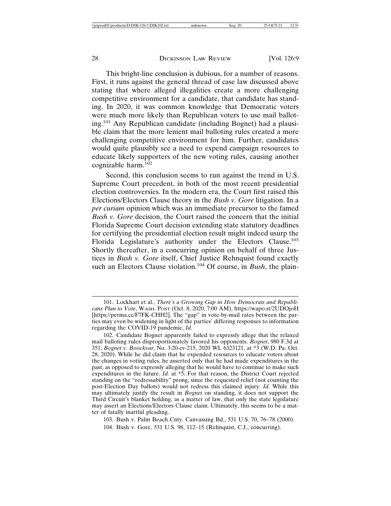This bright-line conclusion is dubious, for a number of reasons. First, it runs against the general thread of case law discussed above stating that where alleged illegalities create a more challenging competitive environment for a candidate, that candidate has standing. In 2020, it was common knowledge that Democratic voters were much more likely than Republican voters to use mail balloting.101 Any Republican candidate (including Bognet) had a plausible claim that the more lenient mail balloting rules created a more challenging competitive environment for him. Further, candidates would quite plausibly see a need to expend campaign resources to educate likely supporters of the new voting rules, causing another cognizable harm.<sup>102</sup>

Second, this conclusion seems to run against the trend in U.S. Supreme Court precedent, in both of the most recent presidential election controversies. In the modern era, the Court first raised this Elections/Electors Clause theory in the *Bush v. Gore* litigation. In a *per curiam* opinion which was an immediate precursor to the famed *Bush v. Gore* decision, the Court raised the concern that the initial Florida Supreme Court decision extending state statutory deadlines for certifying the presidential election result might indeed usurp the Florida Legislature's authority under the Electors Clause.<sup>103</sup> Shortly thereafter, in a concurring opinion on behalf of three Justices in *Bush v. Gore* itself, Chief Justice Rehnquist found exactly such an Electors Clause violation.<sup>104</sup> Of course, in *Bush*, the plain-

103. Bush v. Palm Beach Cnty. Canvassing Bd., 531 U.S. 70, 76–78 (2000). 104. Bush v. Gore, 531 U.S. 98, 112–15 (Rehnquist, C.J., concurring).

<sup>101.</sup> Lockhart et al., *There's a Growing Gap in How Democrats and Republicans Plan to Vote*, WASH. POST (Oct. 8, 2020, 7:00 AM), https://wapo.st/2UDOjoH [https://perma.cc/F7FK-CHH2]. The "gap" in vote-by-mail rates between the parties may even be widening in light of the parties' differing responses to information regarding the COVID-19 pandemic. *Id.*

<sup>102.</sup> Candidate Bognet apparently failed to expressly allege that the relaxed mail balloting rules disproportionately favored his opponents. *Bognet*, 980 F.3d at 351; *Bognet v. Boockvar*, No. 3:20-cv-215, 2020 WL 6323121, at \*3 (W.D. Pa. Oct. 28, 2020). While he did claim that he expended resources to educate voters about the changes in voting rules, he asserted only that he had made expenditures in the past, as opposed to expressly alleging that he would have to continue to make such expenditures in the future. *Id.* at \*5. For that reason, the District Court rejected standing on the "redressability" prong, since the requested relief (not counting the post-Election Day ballots) would not redress this claimed injury. *Id.* While this may ultimately justify the result in *Bognet* on standing, it does not support the Third Circuit's blanket holding, as a matter of law, that only the state legislature may assert an Elections/Electors Clause claim. Ultimately, this seems to be a matter of fatally inartful pleading.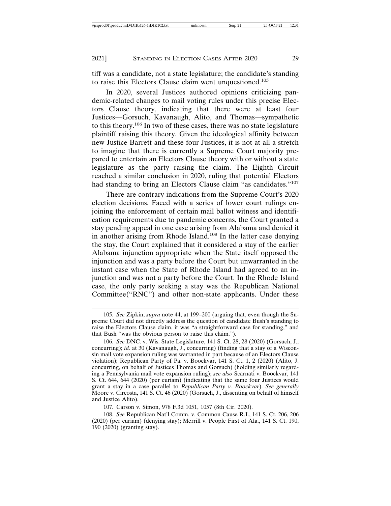tiff was a candidate, not a state legislature; the candidate's standing to raise this Electors Clause claim went unquestioned.<sup>105</sup>

In 2020, several Justices authored opinions criticizing pandemic-related changes to mail voting rules under this precise Electors Clause theory, indicating that there were at least four Justices—Gorsuch, Kavanaugh, Alito, and Thomas—sympathetic to this theory.106 In two of these cases, there was no state legislature plaintiff raising this theory. Given the ideological affinity between new Justice Barrett and these four Justices, it is not at all a stretch to imagine that there is currently a Supreme Court majority prepared to entertain an Electors Clause theory with or without a state legislature as the party raising the claim. The Eighth Circuit reached a similar conclusion in 2020, ruling that potential Electors had standing to bring an Electors Clause claim "as candidates."<sup>107</sup>

There are contrary indications from the Supreme Court's 2020 election decisions. Faced with a series of lower court rulings enjoining the enforcement of certain mail ballot witness and identification requirements due to pandemic concerns, the Court granted a stay pending appeal in one case arising from Alabama and denied it in another arising from Rhode Island.<sup>108</sup> In the latter case denying the stay, the Court explained that it considered a stay of the earlier Alabama injunction appropriate when the State itself opposed the injunction and was a party before the Court but unwarranted in the instant case when the State of Rhode Island had agreed to an injunction and was not a party before the Court. In the Rhode Island case, the only party seeking a stay was the Republican National Committee("RNC") and other non-state applicants. Under these

<sup>105.</sup> *See* Zipkin, *supra* note 44, at 199–200 (arguing that, even though the Supreme Court did not directly address the question of candidate Bush's standing to raise the Electors Clause claim, it was "a straightforward case for standing," and that Bush "was the obvious person to raise this claim.").

<sup>106.</sup> *See* DNC. v. Wis. State Legislature, 141 S. Ct. 28, 28 (2020) (Gorsuch, J., concurring); *id.* at 30 (Kavanaugh, J., concurring) (finding that a stay of a Wisconsin mail vote expansion ruling was warranted in part because of an Electors Clause violation); Republican Party of Pa. v. Boockvar, 141 S. Ct. 1, 2 (2020) (Alito, J. concurring, on behalf of Justices Thomas and Gorsuch) (holding similarly regarding a Pennsylvania mail vote expansion ruling); *see also* Scarnati v. Boockvar, 141 S. Ct. 644, 644 (2020) (per curiam) (indicating that the same four Justices would grant a stay in a case parallel to *Republican Party v. Boockvar*). *See generally* Moore v. Circosta, 141 S. Ct. 46 (2020) (Gorsuch, J., dissenting on behalf of himself and Justice Alito).

<sup>107.</sup> Carson v. Simon, 978 F.3d 1051, 1057 (8th Cir. 2020).

<sup>108.</sup> *See* Republican Nat'l Comm. v. Common Cause R.I., 141 S. Ct. 206, 206 (2020) (per curiam) (denying stay); Merrill v. People First of Ala., 141 S. Ct. 190, 190 (2020) (granting stay).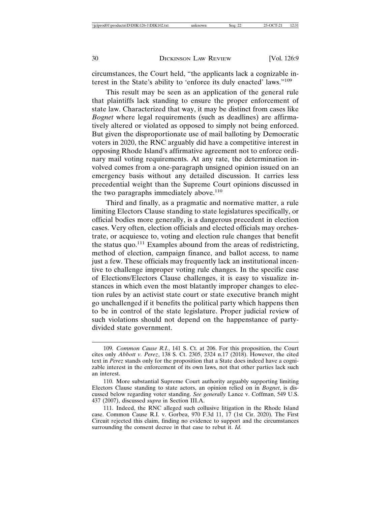circumstances, the Court held, "the applicants lack a cognizable interest in the State's ability to 'enforce its duly enacted' laws."<sup>109</sup>

This result may be seen as an application of the general rule that plaintiffs lack standing to ensure the proper enforcement of state law. Characterized that way, it may be distinct from cases like *Bognet* where legal requirements (such as deadlines) are affirmatively altered or violated as opposed to simply not being enforced. But given the disproportionate use of mail balloting by Democratic voters in 2020, the RNC arguably did have a competitive interest in opposing Rhode Island's affirmative agreement not to enforce ordinary mail voting requirements. At any rate, the determination involved comes from a one-paragraph unsigned opinion issued on an emergency basis without any detailed discussion. It carries less precedential weight than the Supreme Court opinions discussed in the two paragraphs immediately above.<sup>110</sup>

Third and finally, as a pragmatic and normative matter, a rule limiting Electors Clause standing to state legislatures specifically, or official bodies more generally, is a dangerous precedent in election cases. Very often, election officials and elected officials may orchestrate, or acquiesce to, voting and election rule changes that benefit the status quo.<sup>111</sup> Examples abound from the areas of redistricting, method of election, campaign finance, and ballot access, to name just a few. These officials may frequently lack an institutional incentive to challenge improper voting rule changes. In the specific case of Elections/Electors Clause challenges, it is easy to visualize instances in which even the most blatantly improper changes to election rules by an activist state court or state executive branch might go unchallenged if it benefits the political party which happens then to be in control of the state legislature. Proper judicial review of such violations should not depend on the happenstance of partydivided state government.

<sup>109.</sup> *Common Cause R.I.*, 141 S. Ct. at 206. For this proposition, the Court cites only *Abbott v. Perez*, 138 S. Ct. 2305, 2324 n.17 (2018). However, the cited text in *Perez* stands only for the proposition that a State does indeed have a cognizable interest in the enforcement of its own laws, not that other parties lack such an interest.

<sup>110.</sup> More substantial Supreme Court authority arguably supporting limiting Electors Clause standing to state actors, an opinion relied on in *Bognet*, is discussed below regarding voter standing. *See generally* Lance v. Coffman, 549 U.S. 437 (2007), discussed *supra* in Section III.A.

<sup>111.</sup> Indeed, the RNC alleged such collusive litigation in the Rhode Island case. Common Cause R.I. v. Gorbea, 970 F.3d 11, 17 (1st Cir. 2020). The First Circuit rejected this claim, finding no evidence to support and the circumstances surrounding the consent decree in that case to rebut it. *Id.*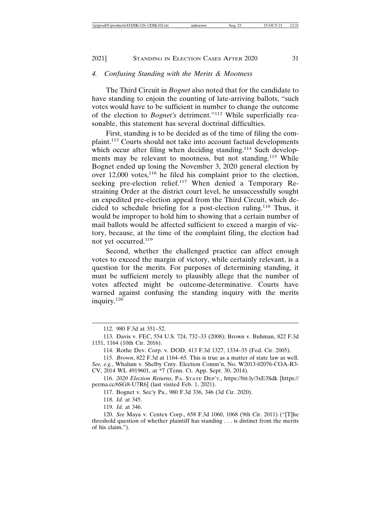## 2021] STANDING IN ELECTION CASES AFTER 2020 31

## *4. Confusing Standing with the Merits & Mootness*

The Third Circuit in *Bognet* also noted that for the candidate to have standing to enjoin the counting of late-arriving ballots, "such votes would have to be sufficient in number to change the outcome of the election to *Bognet's* detriment."112 While superficially reasonable, this statement has several doctrinal difficulties.

First, standing is to be decided as of the time of filing the complaint.113 Courts should not take into account factual developments which occur after filing when deciding standing.<sup>114</sup> Such developments may be relevant to mootness, but not standing.<sup>115</sup> While Bognet ended up losing the November 3, 2020 general election by over  $12,000$  votes,<sup>116</sup> he filed his complaint prior to the election, seeking pre-election relief.<sup>117</sup> When denied a Temporary Restraining Order at the district court level, he unsuccessfully sought an expedited pre-election appeal from the Third Circuit, which decided to schedule briefing for a post-election ruling.118 Thus, it would be improper to hold him to showing that a certain number of mail ballots would be affected sufficient to exceed a margin of victory, because, at the time of the complaint filing, the election had not yet occurred.119

Second, whether the challenged practice can affect enough votes to exceed the margin of victory, while certainly relevant, is a question for the merits. For purposes of determining standing, it must be sufficient merely to plausibly allege that the number of votes affected might be outcome-determinative. Courts have warned against confusing the standing inquiry with the merits inquiry.<sup>120</sup>

118. *Id.* at 345.

119. *Id.* at 346.

<sup>112. 980</sup> F.3d at 351–52.

<sup>113.</sup> Davis v. FEC, 554 U.S. 724, 732–33 (2008); Brown v. Buhman, 822 F.3d 1151, 1164 (10th Cir. 2016).

<sup>114.</sup> Rothe Dev. Corp. v. DOD, 413 F.3d 1327, 1334–35 (Fed. Cir. 2005).

<sup>115.</sup> *Brown*, 822 F.3d at 1164–65*.* This is true as a matter of state law as well.

*See, e.g.*, Whalum v. Shelby Cnty. Election Comm'n, No. W2013-02076-COA-R3- CV, 2014 WL 4919601, at \*7 (Tenn. Ct. App. Sept. 30, 2014).

<sup>116.</sup> *2020 Election Returns*, PA. STATE DEP'T., https://bit.ly/3xE3Sdk [https:// perma.cc/6SG8-U7R6] (last visited Feb. 1, 2021).

<sup>117.</sup> Bognet v. Sec'y Pa., 980 F.3d 336, 346 (3d Cir. 2020).

<sup>120.</sup> *See* Maya v. Centex Corp., 658 F.3d 1060, 1068 (9th Cir. 2011) ("[T]he threshold question of whether plaintiff has standing . . . is distinct from the merits of his claim.").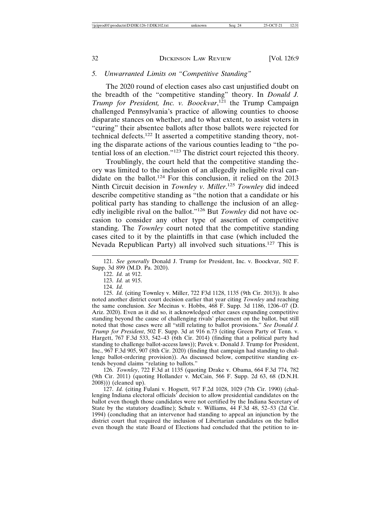## *5. Unwarranted Limits on "Competitive Standing"*

The 2020 round of election cases also cast unjustified doubt on the breadth of the "competitive standing" theory. In *Donald J. Trump for President, Inc. v. Boockvar*, 121 the Trump Campaign challenged Pennsylvania's practice of allowing counties to choose disparate stances on whether, and to what extent, to assist voters in "curing" their absentee ballots after those ballots were rejected for technical defects.122 It asserted a competitive standing theory, noting the disparate actions of the various counties leading to "the potential loss of an election."123 The district court rejected this theory.

Troublingly, the court held that the competitive standing theory was limited to the inclusion of an allegedly ineligible rival candidate on the ballot.124 For this conclusion, it relied on the 2013 Ninth Circuit decision in *Townley v. Miller*. <sup>125</sup> *Townley* did indeed describe competitive standing as "the notion that a candidate or his political party has standing to challenge the inclusion of an allegedly ineligible rival on the ballot."126 But *Townley* did not have occasion to consider any other type of assertion of competitive standing. The *Townley* court noted that the competitive standing cases cited to it by the plaintiffs in that case (which included the Nevada Republican Party) all involved such situations.127 This is

121. *See generally* Donald J. Trump for President, Inc. v. Boockvar, 502 F. Supp. 3d 899 (M.D. Pa. 2020).

122. *Id.* at 912.

123. *Id.* at 915.

124. *Id.*

125. *Id.* (citing Townley v. Miller, 722 F3d 1128, 1135 (9th Cir. 2013)). It also noted another district court decision earlier that year citing *Townley* and reaching the same conclusion. *See* Mecinas v. Hobbs, 468 F. Supp. 3d 1186, 1206–07 (D. Ariz. 2020). Even as it did so, it acknowledged other cases expanding competitive standing beyond the cause of challenging rivals' placement on the ballot, but still noted that those cases were all "still relating to ballot provisions." *See Donald J. Trump for President*, 502 F. Supp. 3d at 916 n.73 (citing Green Party of Tenn. v. Hargett, 767 F.3d 533, 542–43 (6th Cir. 2014) (finding that a political party had standing to challenge ballot-access laws)); Pavek v. Donald J. Trump for President, Inc., 967 F.3d 905, 907 (8th Cir. 2020) (finding that campaign had standing to challenge ballot-ordering provision)). As discussed below, competitive standing extends beyond claims "relating to ballots."

126. *Townley*, 722 F.3d at 1135 (quoting Drake v. Obama, 664 F.3d 774, 782 (9th Cir. 2011) (quoting Hollander v. McCain, 566 F. Supp. 2d 63, 68 (D.N.H. 2008))) (cleaned up).

127. *Id.* (citing Fulani v. Hogsett, 917 F.2d 1028, 1029 (7th Cir. 1990) (challenging Indiana electoral officials' decision to allow presidential candidates on the ballot even though those candidates were not certified by the Indiana Secretary of State by the statutory deadline); Schulz v. Williams, 44 F.3d 48, 52–53 (2d Cir. 1994) (concluding that an intervenor had standing to appeal an injunction by the district court that required the inclusion of Libertarian candidates on the ballot even though the state Board of Elections had concluded that the petition to in-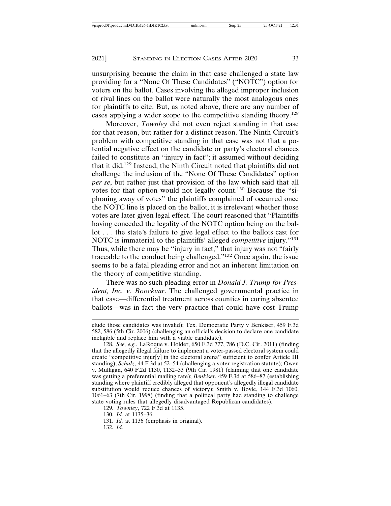unsurprising because the claim in that case challenged a state law providing for a "None Of These Candidates" ("NOTC") option for voters on the ballot. Cases involving the alleged improper inclusion of rival lines on the ballot were naturally the most analogous ones for plaintiffs to cite. But, as noted above, there are any number of cases applying a wider scope to the competitive standing theory.<sup>128</sup>

Moreover, *Townley* did not even reject standing in that case for that reason, but rather for a distinct reason. The Ninth Circuit's problem with competitive standing in that case was not that a potential negative effect on the candidate or party's electoral chances failed to constitute an "injury in fact"; it assumed without deciding that it did.129 Instead, the Ninth Circuit noted that plaintiffs did not challenge the inclusion of the "None Of These Candidates" option *per se*, but rather just that provision of the law which said that all votes for that option would not legally count.130 Because the "siphoning away of votes" the plaintiffs complained of occurred once the NOTC line is placed on the ballot, it is irrelevant whether those votes are later given legal effect. The court reasoned that "Plaintiffs having conceded the legality of the NOTC option being on the ballot . . . the state's failure to give legal effect to the ballots cast for NOTC is immaterial to the plaintiffs' alleged *competitive* injury."<sup>131</sup> Thus, while there may be "injury in fact," that injury was not "fairly traceable to the conduct being challenged."132 Once again, the issue seems to be a fatal pleading error and not an inherent limitation on the theory of competitive standing.

There was no such pleading error in *Donald J. Trump for President, Inc. v. Boockvar*. The challenged governmental practice in that case—differential treatment across counties in curing absentee ballots—was in fact the very practice that could have cost Trump

129. *Townley*, 722 F.3d at 1135.

132. *Id.*

clude those candidates was invalid); Tex. Democratic Party v Benkiser, 459 F.3d 582, 586 (5th Cir. 2006) (challenging an official's decision to declare one candidate ineligible and replace him with a viable candidate).

<sup>128.</sup> *See, e.g.*, LaRoque v. Holder, 650 F.3d 777, 786 (D.C. Cir. 2011) (finding that the allegedly illegal failure to implement a voter-passed electoral system could create "competitive injur[y] in the electoral arena" sufficient to confer Article III standing); *Schulz*, 44 F.3d at 52–54 (challenging a voter registration statute); Owen v. Mulligan, 640 F.2d 1130, 1132–33 (9th Cir. 1981) (claiming that one candidate was getting a preferential mailing rate); *Benkiser*, 459 F.3d at 586–87 (establishing standing where plaintiff credibly alleged that opponent's allegedly illegal candidate substitution would reduce chances of victory); Smith v. Boyle, 144 F.3d 1060, 1061–63 (7th Cir. 1998) (finding that a political party had standing to challenge state voting rules that allegedly disadvantaged Republican candidates).

<sup>130.</sup> *Id.* at 1135–36.

<sup>131.</sup> *Id.* at 1136 (emphasis in original).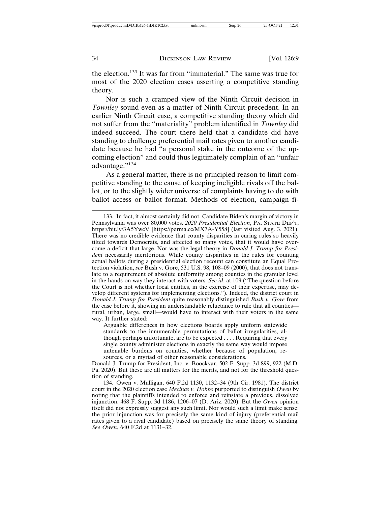the election.133 It was far from "immaterial." The same was true for most of the 2020 election cases asserting a competitive standing theory.

Nor is such a cramped view of the Ninth Circuit decision in *Townley* sound even as a matter of Ninth Circuit precedent. In an earlier Ninth Circuit case, a competitive standing theory which did not suffer from the "materiality" problem identified in *Townley* did indeed succeed. The court there held that a candidate did have standing to challenge preferential mail rates given to another candidate because he had "a personal stake in the outcome of the upcoming election" and could thus legitimately complain of an "unfair advantage."<sup>134</sup>

As a general matter, there is no principled reason to limit competitive standing to the cause of keeping ineligible rivals off the ballot, or to the slightly wider universe of complaints having to do with ballot access or ballot format. Methods of election, campaign fi-

Arguable differences in how elections boards apply uniform statewide standards to the innumerable permutations of ballot irregularities, although perhaps unfortunate, are to be expected . . . . Requiring that every single county administer elections in exactly the same way would impose untenable burdens on counties, whether because of population, resources, or a myriad of other reasonable considerations.

Donald J. Trump for President, Inc. v. Boockvar, 502 F. Supp. 3d 899, 922 (M.D. Pa. 2020). But these are all matters for the merits, and not for the threshold question of standing.

134. Owen v. Mulligan, 640 F.2d 1130, 1132–34 (9th Cir. 1981). The district court in the 2020 election case *Mecinas v. Hobbs* purported to distinguish *Owen* by noting that the plaintiffs intended to enforce and reinstate a previous, dissolved injunction. 468 F. Supp. 3d 1186, 1206–07 (D. Ariz. 2020). But the *Owen* opinion itself did not expressly suggest any such limit. Nor would such a limit make sense: the prior injunction was for precisely the same kind of injury (preferential mail rates given to a rival candidate) based on precisely the same theory of standing. *See Owen*, 640 F.2d at 1131–32.

<sup>133.</sup> In fact, it almost certainly did not. Candidate Biden's margin of victory in Pennsylvania was over 80,000 votes. *2020 Presidential Election*, PA. STATE DEP'T, https://bit.ly/3A5YwcV [https://perma.cc/MX7A-Y558] (last visited Aug. 3, 2021). There was no credible evidence that county disparities in curing rules so heavily tilted towards Democrats, and affected so many votes, that it would have overcome a deficit that large. Nor was the legal theory in *Donald J. Trump for President* necessarily meritorious. While county disparities in the rules for counting actual ballots during a presidential election recount can constitute an Equal Protection violation, *see* Bush v. Gore, 531 U.S. 98, 108–09 (2000), that does not translate to a requirement of absolute uniformity among counties in the granular level in the hands-on way they interact with voters. *See id.* at 109 ("The question before the Court is not whether local entities, in the exercise of their expertise, may develop different systems for implementing elections."). Indeed, the district court in *Donald J. Trump for President* quite reasonably distinguished *Bush v. Gore* from the case before it, showing an understandable reluctance to rule that all counties rural, urban, large, small—would have to interact with their voters in the same way. It further stated: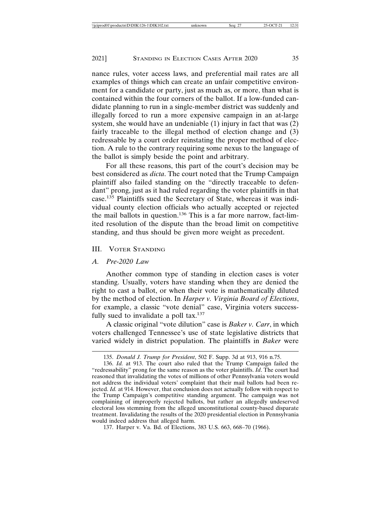nance rules, voter access laws, and preferential mail rates are all examples of things which can create an unfair competitive environment for a candidate or party, just as much as, or more, than what is contained within the four corners of the ballot. If a low-funded candidate planning to run in a single-member district was suddenly and illegally forced to run a more expensive campaign in an at-large system, she would have an undeniable  $(1)$  injury in fact that was  $(2)$ fairly traceable to the illegal method of election change and (3) redressable by a court order reinstating the proper method of election. A rule to the contrary requiring some nexus to the language of the ballot is simply beside the point and arbitrary.

For all these reasons, this part of the court's decision may be best considered as *dicta*. The court noted that the Trump Campaign plaintiff also failed standing on the "directly traceable to defendant" prong, just as it had ruled regarding the voter plaintiffs in that case.135 Plaintiffs sued the Secretary of State, whereas it was individual county election officials who actually accepted or rejected the mail ballots in question.136 This is a far more narrow, fact-limited resolution of the dispute than the broad limit on competitive standing, and thus should be given more weight as precedent.

#### III. VOTER STANDING

#### *A. Pre-2020 Law*

Another common type of standing in election cases is voter standing. Usually, voters have standing when they are denied the right to cast a ballot, or when their vote is mathematically diluted by the method of election. In *Harper v. Virginia Board of Elections*, for example, a classic "vote denial" case, Virginia voters successfully sued to invalidate a poll tax. $137$ 

A classic original "vote dilution" case is *Baker v. Carr*, in which voters challenged Tennessee's use of state legislative districts that varied widely in district population. The plaintiffs in *Baker* were

<sup>135.</sup> *Donald J. Trump for President*, 502 F. Supp. 3d at 913, 916 n.75.

<sup>136.</sup> *Id.* at 913. The court also ruled that the Trump Campaign failed the "redressability" prong for the same reason as the voter plaintiffs. *Id*. The court had reasoned that invalidating the votes of millions of other Pennsylvania voters would not address the individual voters' complaint that their mail ballots had been rejected. *Id.* at 914. However, that conclusion does not actually follow with respect to the Trump Campaign's competitive standing argument. The campaign was not complaining of improperly rejected ballots, but rather an allegedly undeserved electoral loss stemming from the alleged unconstitutional county-based disparate treatment. Invalidating the results of the 2020 presidential election in Pennsylvania would indeed address that alleged harm.

<sup>137.</sup> Harper v. Va. Bd. of Elections, 383 U.S. 663, 668–70 (1966).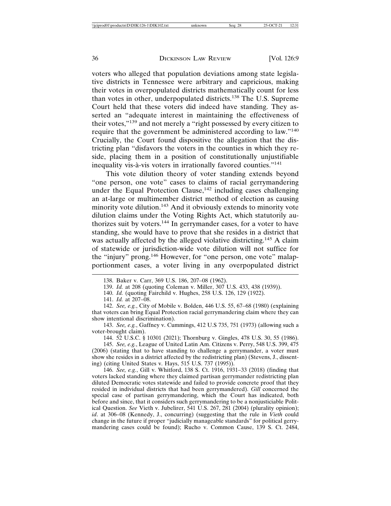voters who alleged that population deviations among state legislative districts in Tennessee were arbitrary and capricious, making their votes in overpopulated districts mathematically count for less than votes in other, underpopulated districts.138 The U.S. Supreme Court held that these voters did indeed have standing. They asserted an "adequate interest in maintaining the effectiveness of their votes,"139 and not merely a "right possessed by every citizen to require that the government be administered according to law."<sup>140</sup> Crucially, the Court found dispositive the allegation that the districting plan "disfavors the voters in the counties in which they reside, placing them in a position of constitutionally unjustifiable inequality vis-à-vis voters in irrationally favored counties."<sup>141</sup>

This vote dilution theory of voter standing extends beyond "one person, one vote" cases to claims of racial gerrymandering under the Equal Protection Clause,<sup>142</sup> including cases challenging an at-large or multimember district method of election as causing minority vote dilution.<sup>143</sup> And it obviously extends to minority vote dilution claims under the Voting Rights Act, which statutorily authorizes suit by voters.<sup>144</sup> In gerrymander cases, for a voter to have standing, she would have to prove that she resides in a district that was actually affected by the alleged violative districting.<sup>145</sup> A claim of statewide or jurisdiction-wide vote dilution will not suffice for the "injury" prong.<sup>146</sup> However, for "one person, one vote" malapportionment cases, a voter living in any overpopulated district

143. *See, e.g.*, Gaffney v. Cummings, 412 U.S 735, 751 (1973) (allowing such a voter-brought claim).

144. 52 U.S.C. § 10301 (2021); Thornburg v. Gingles, 478 U.S. 30, 55 (1986).

145. *See, e.g.*, League of United Latin Am. Citizens v. Perry, 548 U.S. 399, 475 (2006) (stating that to have standing to challenge a gerrymander, a voter must show she resides in a district affected by the redistricting plan) (Stevens, J., dissenting) (citing United States v. Hays, 515 U.S. 737 (1995)).

146. *See, e.g.*, Gill v. Whitford, 138 S. Ct. 1916, 1931–33 (2018) (finding that voters lacked standing where they claimed partisan gerrymander redistricting plan diluted Democratic votes statewide and failed to provide concrete proof that they resided in individual districts that had been gerrymandered). *Gill* concerned the special case of partisan gerrymandering, which the Court has indicated, both before and since, that it considers such gerrymandering to be a nonjusticiable Political Question. *See* Vieth v. Jubelirer, 541 U.S. 267, 281 (2004) (plurality opinion); *id*. at 306–08 (Kennedy, J., concurring) (suggesting that the rule in *Vieth* could change in the future if proper "judicially manageable standards" for political gerrymandering cases could be found); Rucho v. Common Cause, 139 S. Ct. 2484,

<sup>138.</sup> Baker v. Carr, 369 U.S. 186, 207–08 (1962).

<sup>139.</sup> *Id.* at 208 (quoting Coleman v. Miller, 307 U.S. 433, 438 (1939)).

<sup>140.</sup> *Id.* (quoting Fairchild v. Hughes, 258 U.S. 126, 129 (1922).

<sup>141.</sup> *Id.* at 207–08.

<sup>142.</sup> *See, e.g.*, City of Mobile v. Bolden, 446 U.S. 55, 67–68 (1980) (explaining that voters can bring Equal Protection racial gerrymandering claim where they can show intentional discrimination).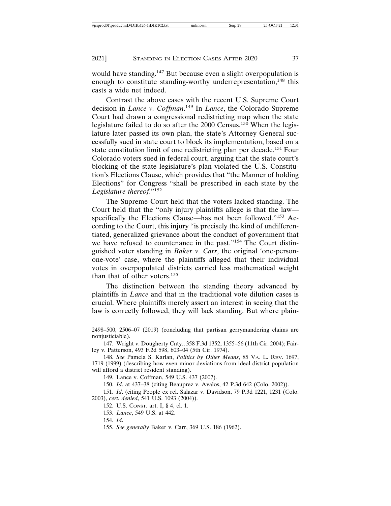would have standing.<sup>147</sup> But because even a slight overpopulation is enough to constitute standing-worthy underrepresentation,<sup>148</sup> this casts a wide net indeed.

Contrast the above cases with the recent U.S. Supreme Court decision in *Lance v. Coffman*. 149 In *Lance*, the Colorado Supreme Court had drawn a congressional redistricting map when the state legislature failed to do so after the 2000 Census.<sup>150</sup> When the legislature later passed its own plan, the state's Attorney General successfully sued in state court to block its implementation, based on a state constitution limit of one redistricting plan per decade.151 Four Colorado voters sued in federal court, arguing that the state court's blocking of the state legislature's plan violated the U.S. Constitution's Elections Clause, which provides that "the Manner of holding Elections" for Congress "shall be prescribed in each state by the *Legislature thereof*."<sup>152</sup>

The Supreme Court held that the voters lacked standing. The Court held that the "only injury plaintiffs allege is that the law specifically the Elections Clause—has not been followed."153 According to the Court, this injury "is precisely the kind of undifferentiated, generalized grievance about the conduct of government that we have refused to countenance in the past."<sup>154</sup> The Court distinguished voter standing in *Baker v. Carr*, the original 'one-personone-vote' case, where the plaintiffs alleged that their individual votes in overpopulated districts carried less mathematical weight than that of other voters.<sup>155</sup>

The distinction between the standing theory advanced by plaintiffs in *Lance* and that in the traditional vote dilution cases is crucial. Where plaintiffs merely assert an interest in seeing that the law is correctly followed, they will lack standing. But where plain-

147. Wright v. Dougherty Cnty., 358 F.3d 1352, 1355–56 (11th Cir. 2004); Fairley v. Patterson, 493 F.2d 598, 603–04 (5th Cir. 1974).

149. Lance v. Coffman, 549 U.S. 437 (2007).

150. *Id*. at 437–38 (citing Beauprez v. Avalos, 42 P.3d 642 (Colo. 2002)).

151. *Id*. (citing People ex rel. Salazar v. Davidson, 79 P.3d 1221, 1231 (Colo. 2003), *cert. denied*, 541 U.S. 1093 (2004)).

152. U.S. CONST. art. I, § 4, cl. 1.

153. *Lance*, 549 U.S. at 442.

154. *Id*.

<sup>2498–500, 2506–07 (2019) (</sup>concluding that partisan gerrymandering claims are nonjusticiable).

<sup>148.</sup> *See* Pamela S. Karlan, *Politics by Other Means*, 85 VA. L. REV. 1697, 1719 (1999) (describing how even minor deviations from ideal district population will afford a district resident standing).

<sup>155.</sup> *See generally* Baker v. Carr, 369 U.S. 186 (1962).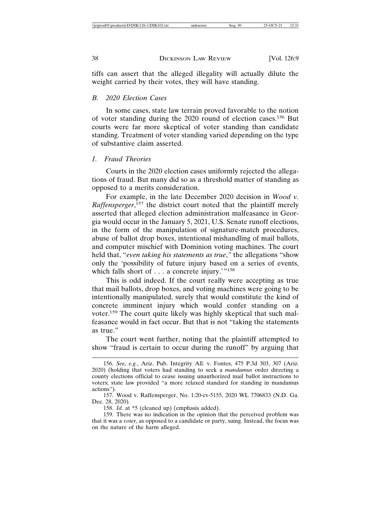tiffs can assert that the alleged illegality will actually dilute the weight carried by their votes, they will have standing.

#### *B. 2020 Election Cases*

In some cases, state law terrain proved favorable to the notion of voter standing during the 2020 round of election cases.156 But courts were far more skeptical of voter standing than candidate standing. Treatment of voter standing varied depending on the type of substantive claim asserted.

#### *1. Fraud Theories*

Courts in the 2020 election cases uniformly rejected the allegations of fraud. But many did so as a threshold matter of standing as opposed to a merits consideration.

For example, in the late December 2020 decision in *Wood v. Raffensperger*, 157 the district court noted that the plaintiff merely asserted that alleged election administration malfeasance in Georgia would occur in the January 5, 2021, U.S. Senate runoff elections, in the form of the manipulation of signature-match procedures, abuse of ballot drop boxes, intentional mishandling of mail ballots, and computer mischief with Dominion voting machines. The court held that, "*even taking his statements as true*,*"* the allegations "show only the 'possibility of future injury based on a series of events, which falls short of  $\dots$  a concrete injury.'"<sup>158</sup>

This is odd indeed. If the court really were accepting as true that mail ballots, drop boxes, and voting machines were going to be intentionally manipulated, surely that would constitute the kind of concrete imminent injury which would confer standing on a voter.159 The court quite likely was highly skeptical that such malfeasance would in fact occur. But that is not "taking the statements as true."

The court went further, noting that the plaintiff attempted to show "fraud is certain to occur during the runoff" by arguing that

<sup>156.</sup> *See, e.g.*, Ariz. Pub. Integrity All. v. Fontes, 475 P.3d 303, 307 (Ariz. 2020) (holding that voters had standing to seek a *mandamus* order directing a county elections official to cease issuing unauthorized mail ballot instructions to voters; state law provided "a more relaxed standard for standing in mandamus actions").

<sup>157.</sup> Wood v. Raffensperger, No. 1:20-cv-5155, 2020 WL 7706833 (N.D. Ga. Dec. 28, 2020).

<sup>158.</sup> *Id*. at \*5 (cleaned up) (emphasis added).

<sup>159.</sup> There was no indication in the opinion that the perceived problem was that it was a *voter*, as opposed to a candidate or party, suing. Instead, the focus was on the nature of the harm alleged.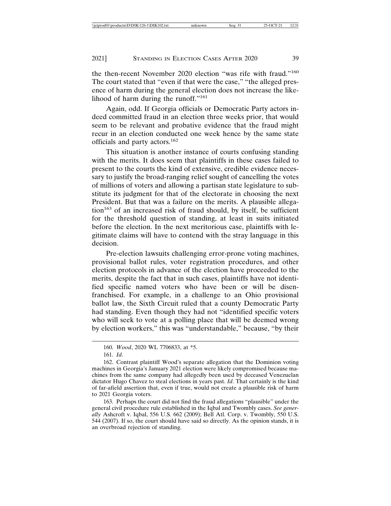the then-recent November 2020 election "was rife with fraud."<sup>160</sup> The court stated that "even if that were the case," "the alleged presence of harm during the general election does not increase the likelihood of harm during the runoff."<sup>161</sup>

Again, odd. If Georgia officials or Democratic Party actors indeed committed fraud in an election three weeks prior, that would seem to be relevant and probative evidence that the fraud might recur in an election conducted one week hence by the same state officials and party actors.<sup>162</sup>

This situation is another instance of courts confusing standing with the merits. It does seem that plaintiffs in these cases failed to present to the courts the kind of extensive, credible evidence necessary to justify the broad-ranging relief sought of cancelling the votes of millions of voters and allowing a partisan state legislature to substitute its judgment for that of the electorate in choosing the next President. But that was a failure on the merits. A plausible allega- $\tau$  tion<sup>163</sup> of an increased risk of fraud should, by itself, be sufficient for the threshold question of standing, at least in suits initiated before the election. In the next meritorious case, plaintiffs with legitimate claims will have to contend with the stray language in this decision.

Pre-election lawsuits challenging error-prone voting machines, provisional ballot rules, voter registration procedures, and other election protocols in advance of the election have proceeded to the merits, despite the fact that in such cases, plaintiffs have not identified specific named voters who have been or will be disenfranchised. For example, in a challenge to an Ohio provisional ballot law, the Sixth Circuit ruled that a county Democratic Party had standing. Even though they had not "identified specific voters who will seek to vote at a polling place that will be deemed wrong by election workers," this was "understandable," because, "by their

163. Perhaps the court did not find the fraud allegations "plausible" under the general civil procedure rule established in the Iqbal and Twombly cases. *See generally* Ashcroft v. Iqbal, 556 U.S. 662 (2009); Bell Atl. Corp. v. Twombly, 550 U.S. 544 (2007). If so, the court should have said so directly. As the opinion stands, it is an overbroad rejection of standing.

<sup>160.</sup> *Wood*, 2020 WL 7706833, at \*5.

<sup>161.</sup> *Id*.

<sup>162.</sup> Contrast plaintiff Wood's separate allegation that the Dominion voting machines in Georgia's January 2021 election were likely compromised because machines from the same company had allegedly been used by deceased Venezuelan dictator Hugo Chavez to steal elections in years past. *Id*. That certainly is the kind of far-afield assertion that, even if true, would not create a plausible risk of harm to 2021 Georgia voters.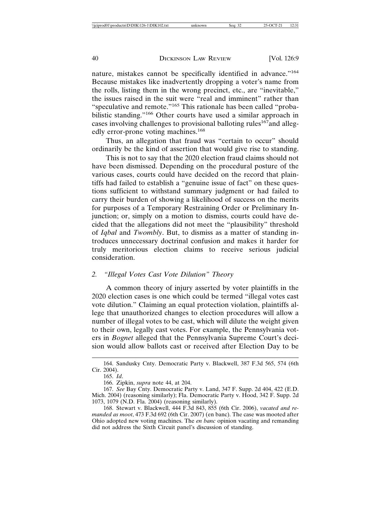nature, mistakes cannot be specifically identified in advance."<sup>164</sup> Because mistakes like inadvertently dropping a voter's name from the rolls, listing them in the wrong precinct, etc., are "inevitable," the issues raised in the suit were "real and imminent" rather than "speculative and remote."<sup>165</sup> This rationale has been called "probabilistic standing."<sup>166</sup> Other courts have used a similar approach in cases involving challenges to provisional balloting rules<sup>167</sup>and allegedly error-prone voting machines.<sup>168</sup>

Thus, an allegation that fraud was "certain to occur" should ordinarily be the kind of assertion that would give rise to standing.

This is not to say that the 2020 election fraud claims should not have been dismissed. Depending on the procedural posture of the various cases, courts could have decided on the record that plaintiffs had failed to establish a "genuine issue of fact" on these questions sufficient to withstand summary judgment or had failed to carry their burden of showing a likelihood of success on the merits for purposes of a Temporary Restraining Order or Preliminary Injunction; or, simply on a motion to dismiss, courts could have decided that the allegations did not meet the "plausibility" threshold of *Iqbal* and *Twombly*. But, to dismiss as a matter of standing introduces unnecessary doctrinal confusion and makes it harder for truly meritorious election claims to receive serious judicial consideration.

#### *2. "Illegal Votes Cast Vote Dilution" Theory*

A common theory of injury asserted by voter plaintiffs in the 2020 election cases is one which could be termed "illegal votes cast vote dilution." Claiming an equal protection violation, plaintiffs allege that unauthorized changes to election procedures will allow a number of illegal votes to be cast, which will dilute the weight given to their own, legally cast votes. For example, the Pennsylvania voters in *Bognet* alleged that the Pennsylvania Supreme Court's decision would allow ballots cast or received after Election Day to be

<sup>164.</sup> Sandusky Cnty. Democratic Party v. Blackwell, 387 F.3d 565, 574 (6th Cir. 2004).

<sup>165.</sup> *Id*.

<sup>166.</sup> Zipkin, *supra* note 44, at 204.

<sup>167.</sup> *See* Bay Cnty. Democratic Party v. Land, 347 F. Supp. 2d 404, 422 (E.D. Mich. 2004) (reasoning similarly); Fla. Democratic Party v. Hood, 342 F. Supp. 2d 1073, 1079 (N.D. Fla. 2004) (reasoning similarly).

<sup>168.</sup> Stewart v. Blackwell, 444 F.3d 843, 855 (6th Cir. 2006), *vacated and remanded as moot*, 473 F.3d 692 (6th Cir. 2007) (en banc). The case was mooted after Ohio adopted new voting machines. The *en banc* opinion vacating and remanding did not address the Sixth Circuit panel's discussion of standing.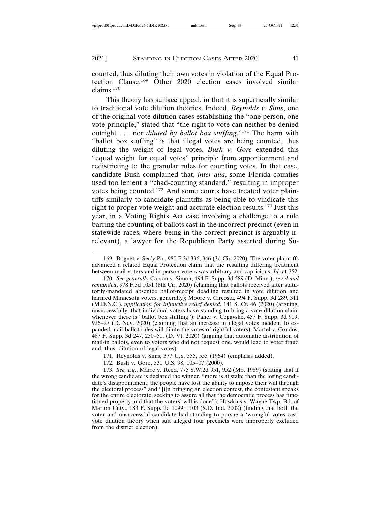counted, thus diluting their own votes in violation of the Equal Protection Clause.169 Other 2020 election cases involved similar claims.170

This theory has surface appeal, in that it is superficially similar to traditional vote dilution theories. Indeed, *Reynolds v. Sims*, one of the original vote dilution cases establishing the "one person, one vote principle," stated that "the right to vote can neither be denied outright . . . nor *diluted by ballot box stuffing*."171 The harm with "ballot box stuffing" is that illegal votes are being counted, thus diluting the weight of legal votes. *Bush v. Gore* extended this "equal weight for equal votes" principle from apportionment and redistricting to the granular rules for counting votes. In that case, candidate Bush complained that, *inter alia*, some Florida counties used too lenient a "chad-counting standard," resulting in improper votes being counted.172 And some courts have treated voter plaintiffs similarly to candidate plaintiffs as being able to vindicate this right to proper vote weight and accurate election results.173 Just this year, in a Voting Rights Act case involving a challenge to a rule barring the counting of ballots cast in the incorrect precinct (even in statewide races, where being in the correct precinct is arguably irrelevant), a lawyer for the Republican Party asserted during Su-

170. *See generally* Carson v. Simon, 494 F. Supp. 3d 589 (D. Minn.), *rev'd and remanded*, 978 F.3d 1051 (8th Cir. 2020) (claiming that ballots received after statutorily-mandated absentee ballot-receipt deadline resulted in vote dilution and harmed Minnesota voters, generally); Moore v. Circosta, 494 F. Supp. 3d 289, 311 (M.D.N.C.), *application for injunctive relief denied*, 141 S. Ct. 46 (2020) (arguing, unsuccessfully, that individual voters have standing to bring a vote dilution claim whenever there is "ballot box stuffing"); Paher v. Cegavske, 457 F. Supp. 3d 919, 926–27 (D. Nev. 2020) (claiming that an increase in illegal votes incident to expanded mail-ballot rules will dilute the votes of rightful voters); Martel v. Condos, 487 F. Supp. 3d 247, 250–51, (D. Vt. 2020) (arguing that automatic distribution of mail-in ballots, even to voters who did not request one, would lead to voter fraud and, thus, dilution of legal votes).

171. Reynolds v. Sims, 377 U.S. 555, 555 (1964) (emphasis added).

172. Bush v. Gore, 531 U.S. 98, 105–07 (2000).

173. *See, e.g.*, Marre v. Reed, 775 S.W.2d 951, 952 (Mo. 1989) (stating that if the wrong candidate is declared the winner, "more is at stake than the losing candidate's disappointment; the people have lost the ability to impose their will through the electoral process" and "[i]n bringing an election contest, the contestant speaks for the entire electorate, seeking to assure all that the democratic process has functioned properly and that the voters' will is done"); Hawkins v. Wayne Twp. Bd. of Marion Cnty., 183 F. Supp. 2d 1099, 1103 (S.D. Ind. 2002) (finding that both the voter and unsuccessful candidate had standing to pursue a 'wrongful votes cast' vote dilution theory when suit alleged four precincts were improperly excluded from the district election).

<sup>169.</sup> Bognet v. Sec'y Pa., 980 F.3d 336, 346 (3d Cir. 2020). The voter plaintiffs advanced a related Equal Protection claim that the resulting differing treatment between mail voters and in-person voters was arbitrary and capricious. *Id.* at 352.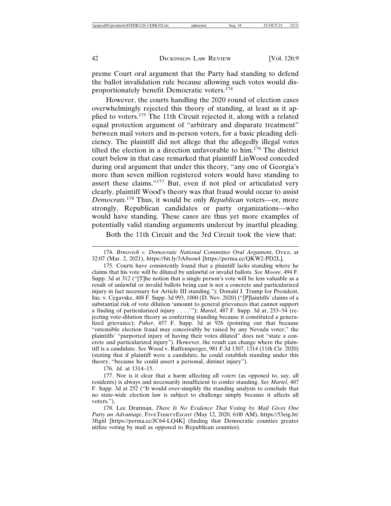preme Court oral argument that the Party had standing to defend the ballot invalidation rule because allowing such votes would disproportionately benefit Democratic voters.<sup>174</sup>

However, the courts handling the 2020 round of election cases overwhelmingly rejected this theory of standing, at least as it applied to voters.175 The 11th Circuit rejected it, along with a related equal protection argument of "arbitrary and disparate treatment" between mail voters and in-person voters, for a basic pleading deficiency. The plaintiff did not allege that the allegedly illegal votes tilted the election in a direction unfavorable to him.176 The district court below in that case remarked that plaintiff LinWood conceded during oral argument that under this theory, "any one of Georgia's more than seven million registered voters would have standing to assert these claims."177 But, even if not pled or articulated very clearly, plaintiff Wood's theory was that fraud would occur to assist *Democrats*. 178 Thus, it would be only *Republican* voters—or, more strongly, Republican candidates or party organizations—who would have standing. These cases are thus yet more examples of potentially valid standing arguments undercut by inartful pleading.

Both the 11th Circuit and the 3rd Circuit took the view that:

175. Courts have consistently found that a plaintiff lacks standing where he claims that his vote will be diluted by unlawful or invalid ballots. *See Moore*, 494 F. Supp. 3d at 312 ("[T]he notion that a single person's vote will be less valuable as a result of unlawful or invalid ballots being cast is not a concrete and particularized injury in fact necessary for Article III standing."); Donald J. Trump for President, Inc. v. Cegavske, 488 F. Supp. 3d 993, 1000 (D. Nev. 2020) ("[P]laintiffs' claims of a substantial risk of vote dilution 'amount to general grievances that cannot support a finding of particularized injury . . . .'"); *Martel*, 487 F. Supp. 3d at, 253–54 (rejecting vote-dilution theory as conferring standing because it constituted a generalized grievance); *Paher*, 457 F. Supp. 3d at 926 (pointing out that because "ostensible election fraud may conceivably be raised by any Nevada voter," the plaintiffs' "purported injury of having their votes diluted" does not "state a concrete and particularized injury"). However, the result can change where the plaintiff is a candidate. *See* Wood v. Raffensperger, 981 F.3d 1307, 1314 (11th Cir. 2020) (stating that if plaintiff were a candidate, he could establish standing under this theory, "because he could assert a personal, distinct injury").

176. *Id.* at 1314–15.

177. Nor is it clear that a harm affecting all *voters* (as opposed to, say, all residents) is always and necessarily insufficient to confer standing. *See Martel*, 487 F. Supp. 3d at 252 ("It would over-simplify the standing analysis to conclude that no state-wide election law is subject to challenge simply because it affects all voters.").

178. Lee Drutman, *There Is No Evidence That Voting by Mail Gives One Party an Advantage*, FIVETHIRTYEIGHT (May 12, 2020, 6:00 AM), https://53eig.ht/ 3ftgiil [https://perma.cc/JC64-LQ4K] (finding that Democratic counties greater utilize voting by mail as opposed to Republican counties).

<sup>174.</sup> *Brnovich v. Democratic National Committee Oral Argument*, OYEZ, at 32:07 (Mar. 2, 2021), https://bit.ly/3A8xou4 [https://perma.cc/QKW2-PD2L].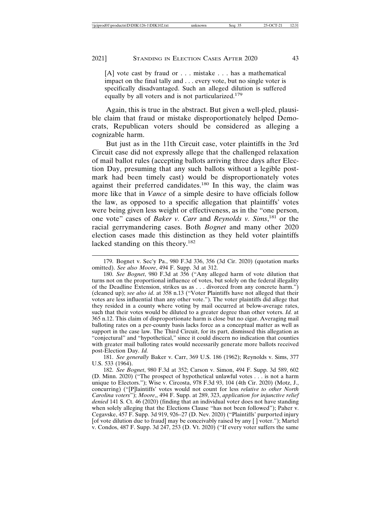[A] vote cast by fraud or . . . mistake . . . has a mathematical impact on the final tally and . . . every vote, but no single voter is specifically disadvantaged. Such an alleged dilution is suffered equally by all voters and is not particularized.<sup>179</sup>

Again, this is true in the abstract. But given a well-pled, plausible claim that fraud or mistake disproportionately helped Democrats, Republican voters should be considered as alleging a cognizable harm.

But just as in the 11th Circuit case, voter plaintiffs in the 3rd Circuit case did not expressly allege that the challenged relaxation of mail ballot rules (accepting ballots arriving three days after Election Day, presuming that any such ballots without a legible postmark had been timely cast) would be disproportionately votes against their preferred candidates.180 In this way, the claim was more like that in *Vance* of a simple desire to have officials follow the law, as opposed to a specific allegation that plaintiffs' votes were being given less weight or effectiveness, as in the "one person, one vote" cases of *Baker v. Carr* and *Reynolds v. Sims*, 181 or the racial gerrymandering cases. Both *Bognet* and many other 2020 election cases made this distinction as they held voter plaintiffs lacked standing on this theory.<sup>182</sup>

181. *See generally* Baker v. Carr, 369 U.S. 186 (1962); Reynolds v. Sims, 377 U.S. 533 (1964).

<sup>179.</sup> Bognet v. Sec'y Pa., 980 F.3d 336, 356 (3d Cir. 2020) (quotation marks omitted). *See also Moore*, 494 F. Supp. 3d at 312.

<sup>180.</sup> *See Bognet*, 980 F.3d at 356 ("Any alleged harm of vote dilution that turns not on the proportional influence of votes, but solely on the federal illegality of the Deadline Extension, strikes us as . . . divorced from any concrete harm.") (cleaned up); *see also id*. at 358 n.13 ("Voter Plaintiffs have not alleged that their votes are less influential than any other vote."). The voter plaintiffs did allege that they resided in a county where voting by mail occurred at below-average rates, such that their votes would be diluted to a greater degree than other voters. *Id.* at 365 n.12. This claim of disproportionate harm is close but no cigar. Averaging mail balloting rates on a per-county basis lacks force as a conceptual matter as well as support in the case law. The Third Circuit, for its part, dismissed this allegation as "conjectural" and "hypothetical," since it could discern no indication that counties with greater mail balloting rates would necessarily generate more ballots received post-Election Day. *Id.*

<sup>182.</sup> *See Bognet*, 980 F.3d at 352; Carson v. Simon, 494 F. Supp. 3d 589, 602 (D. Minn. 2020) ("The prospect of hypothetical unlawful votes . . . is not a harm unique to Electors."); Wise v. Circosta, 978 F.3d 93, 104 (4th Cir. 2020) (Motz, J., concurring) ("[P]laintiffs' votes would not count for less *relative to other North Carolina voters*"); *Moore*,, 494 F. Supp. at 289, 323, *application for injunctive relief denied* 141 S. Ct. 46 (2020) (finding that an individual voter does not have standing when solely alleging that the Elections Clause "has not been followed"); Paher v. Cegavske, 457 F. Supp. 3d 919, 926–27 (D. Nev. 2020) ("Plaintiffs' purported injury [of vote dilution due to fraud] may be conceivably raised by any  $[]$  voter."); Martel v. Condos, 487 F. Supp. 3d 247, 253 (D. Vt. 2020) ("If every voter suffers the same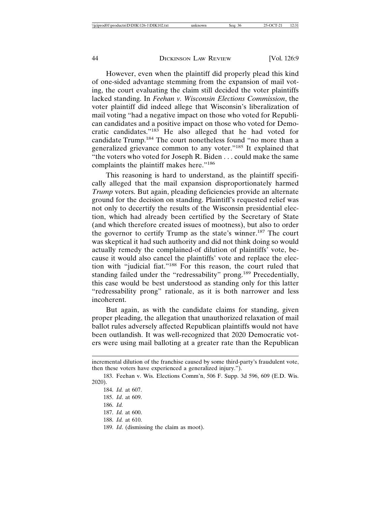However, even when the plaintiff did properly plead this kind of one-sided advantage stemming from the expansion of mail voting, the court evaluating the claim still decided the voter plaintiffs lacked standing. In *Feehan v. Wisconsin Elections Commission*, the voter plaintiff did indeed allege that Wisconsin's liberalization of mail voting "had a negative impact on those who voted for Republican candidates and a positive impact on those who voted for Democratic candidates."183 He also alleged that he had voted for candidate Trump.184 The court nonetheless found "no more than a generalized grievance common to any voter."185 It explained that "the voters who voted for Joseph R. Biden . . . could make the same complaints the plaintiff makes here."<sup>186</sup>

This reasoning is hard to understand, as the plaintiff specifically alleged that the mail expansion disproportionately harmed *Trump* voters. But again, pleading deficiencies provide an alternate ground for the decision on standing. Plaintiff's requested relief was not only to decertify the results of the Wisconsin presidential election, which had already been certified by the Secretary of State (and which therefore created issues of mootness), but also to order the governor to certify Trump as the state's winner.187 The court was skeptical it had such authority and did not think doing so would actually remedy the complained-of dilution of plaintiffs' vote, because it would also cancel the plaintiffs' vote and replace the election with "judicial fiat."188 For this reason, the court ruled that standing failed under the "redressability" prong.<sup>189</sup> Precedentially, this case would be best understood as standing only for this latter "redressability prong" rationale, as it is both narrower and less incoherent.

But again, as with the candidate claims for standing, given proper pleading, the allegation that unauthorized relaxation of mail ballot rules adversely affected Republican plaintiffs would not have been outlandish. It was well-recognized that 2020 Democratic voters were using mail balloting at a greater rate than the Republican

incremental dilution of the franchise caused by some third-party's fraudulent vote, then these voters have experienced a generalized injury.").

<sup>183.</sup> Feehan v. Wis. Elections Comm'n, 506 F. Supp. 3d 596, 609 (E.D. Wis. 2020).

<sup>184.</sup> *Id.* at 607.

<sup>185.</sup> *Id*. at 609.

<sup>186.</sup> *Id.*

<sup>187.</sup> *Id.* at 600.

<sup>188.</sup> *Id.* at 610.

<sup>189.</sup> *Id*. (dismissing the claim as moot).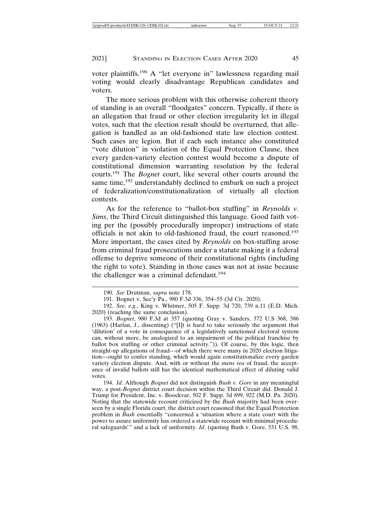voter plaintiffs.190 A "let everyone in" lawlessness regarding mail voting would clearly disadvantage Republican candidates and voters.

The more serious problem with this otherwise coherent theory of standing is an overall "floodgates" concern. Typically, if there is an allegation that fraud or other election irregularity let in illegal votes, such that the election result should be overturned, that allegation is handled as an old-fashioned state law election contest. Such cases are legion. But if each such instance also constituted "vote dilution" in violation of the Equal Protection Clause, then every garden-variety election contest would become a dispute of constitutional dimension warranting resolution by the federal courts.191 The *Bognet* court, like several other courts around the same time,<sup>192</sup> understandably declined to embark on such a project of federalization/constitutionalization of virtually all election contests.

As for the reference to "ballot-box stuffing" in *Reynolds v. Sims*, the Third Circuit distinguished this language. Good faith voting per the (possibly procedurally improper) instructions of state officials is not akin to old-fashioned fraud, the court reasoned.<sup>193</sup> More important, the cases cited by *Reynolds* on box-stuffing arose from criminal fraud prosecutions under a statute making it a federal offense to deprive someone of their constitutional rights (including the right to vote). Standing in those cases was not at issue because the challenger was a criminal defendant.<sup>194</sup>

<sup>190.</sup> *See* Drutman, *supra* note 178.

<sup>191.</sup> Bognet v. Sec'y Pa., 980 F.3d 336, 354–55 (3d Cir. 2020).

<sup>192.</sup> *See, e.g.*, King v. Whitmer, 505 F. Supp. 3d 720, 739 n.11 (E.D. Mich. 2020) (reaching the same conclusion).

<sup>193.</sup> *Bognet*, 980 F.3d at 357 (quoting Gray v. Sanders, 372 U.S 368, 386 (1963) (Harlan, J., dissenting) ("[I]t is hard to take seriously the argument that 'dilution' of a vote in consequence of a legislatively sanctioned electoral system can, without more, be analogized to an impairment of the political franchise by ballot box stuffing or other criminal activity.")). Of course, by this logic, then straight-up allegations of fraud—of which there were many in 2020 election litigation—ought to confer standing, which would again constitutionalize every garden variety election dispute. And, with or without the *mens rea* of fraud, the acceptance of invalid ballots still has the identical mathematical effect of diluting valid votes.

<sup>194.</sup> *Id*. Although *Bognet* did not distinguish *Bush v. Gore* in any meaningful way, a post-*Bognet* district court decision within the Third Circuit did. Donald J. Trump for President, Inc. v. Boockvar, 502 F. Supp. 3d 899, 922 (M.D. Pa. 2020). Noting that the statewide recount criticized by the *Bush* majority had been overseen by a single Florida court, the district court reasoned that the Equal Protection problem in *Bush* essentially "concerned a 'situation where a state court with the power to assure uniformity has ordered a statewide recount with minimal procedural safeguards'" and a lack of uniformity. *Id*. (quoting Bush v. Gore, 531 U.S. 98,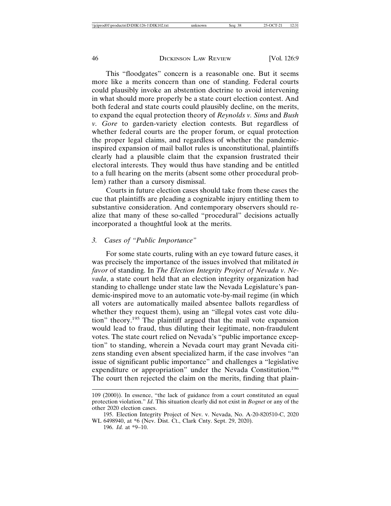This "floodgates" concern is a reasonable one. But it seems more like a merits concern than one of standing. Federal courts could plausibly invoke an abstention doctrine to avoid intervening in what should more properly be a state court election contest. And both federal and state courts could plausibly decline, on the merits, to expand the equal protection theory of *Reynolds v. Sims* and *Bush v. Gore* to garden-variety election contests. But regardless of whether federal courts are the proper forum, or equal protection the proper legal claims, and regardless of whether the pandemicinspired expansion of mail ballot rules is unconstitutional, plaintiffs clearly had a plausible claim that the expansion frustrated their electoral interests. They would thus have standing and be entitled to a full hearing on the merits (absent some other procedural problem) rather than a cursory dismissal.

Courts in future election cases should take from these cases the cue that plaintiffs are pleading a cognizable injury entitling them to substantive consideration. And contemporary observers should realize that many of these so-called "procedural" decisions actually incorporated a thoughtful look at the merits.

## *3. Cases of "Public Importance"*

For some state courts, ruling with an eye toward future cases, it was precisely the importance of the issues involved that militated *in favor* of standing. In *The Election Integrity Project of Nevada v. Nevada*, a state court held that an election integrity organization had standing to challenge under state law the Nevada Legislature's pandemic-inspired move to an automatic vote-by-mail regime (in which all voters are automatically mailed absentee ballots regardless of whether they request them), using an "illegal votes cast vote dilution" theory.195 The plaintiff argued that the mail vote expansion would lead to fraud, thus diluting their legitimate, non-fraudulent votes. The state court relied on Nevada's "public importance exception" to standing, wherein a Nevada court may grant Nevada citizens standing even absent specialized harm, if the case involves "an issue of significant public importance" and challenges a "legislative expenditure or appropriation" under the Nevada Constitution.<sup>196</sup> The court then rejected the claim on the merits, finding that plain-

<sup>109 (2000)).</sup> In essence, "the lack of guidance from a court constituted an equal protection violation." *Id*. This situation clearly did not exist in *Bognet* or any of the other 2020 election cases.

<sup>195.</sup> Election Integrity Project of Nev. v. Nevada, No. A-20-820510-C, 2020 WL 6498940, at \*6 (Nev. Dist. Ct., Clark Cnty. Sept. 29, 2020).

<sup>196.</sup> *Id.* at \*9–10.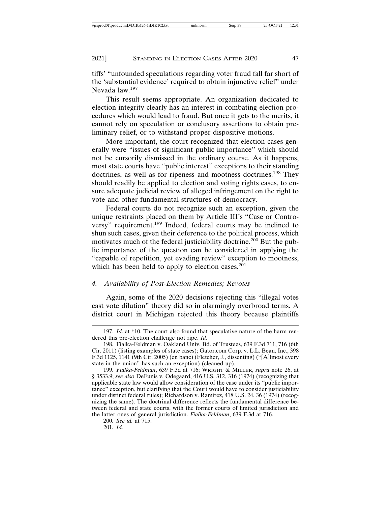tiffs' "unfounded speculations regarding voter fraud fall far short of the 'substantial evidence' required to obtain injunctive relief" under Nevada law.<sup>197</sup>

This result seems appropriate. An organization dedicated to election integrity clearly has an interest in combating election procedures which would lead to fraud. But once it gets to the merits, it cannot rely on speculation or conclusory assertions to obtain preliminary relief, or to withstand proper dispositive motions.

More important, the court recognized that election cases generally were "issues of significant public importance" which should not be cursorily dismissed in the ordinary course. As it happens, most state courts have "public interest" exceptions to their standing doctrines, as well as for ripeness and mootness doctrines.198 They should readily be applied to election and voting rights cases, to ensure adequate judicial review of alleged infringement on the right to vote and other fundamental structures of democracy.

Federal courts do not recognize such an exception, given the unique restraints placed on them by Article III's "Case or Controversy" requirement.199 Indeed, federal courts may be inclined to shun such cases, given their deference to the political process, which motivates much of the federal justiciability doctrine.<sup>200</sup> But the public importance of the question can be considered in applying the "capable of repetition, yet evading review" exception to mootness, which has been held to apply to election cases. $^{201}$ 

## *4. Availability of Post-Election Remedies; Revotes*

Again, some of the 2020 decisions rejecting this "illegal votes cast vote dilution" theory did so in alarmingly overbroad terms. A district court in Michigan rejected this theory because plaintiffs

201. *Id.*

<sup>197.</sup> *Id*. at \*10. The court also found that speculative nature of the harm rendered this pre-election challenge not ripe. *Id*.

<sup>198.</sup> Fialka-Feldman v. Oakland Univ. Bd. of Trustees, 639 F.3d 711, 716 (6th Cir. 2011) (listing examples of state cases); Gator.com Corp. v. L.L. Bean, Inc., 398 F.3d 1125, 1141 (9th Cir. 2005) (en banc) (Fletcher, J., dissenting) ("[A]lmost every state in the union" has such an exception) (cleaned up).

<sup>199.</sup> *Fialka-Feldman*, 639 F.3d at 716; WRIGHT & MILLER, *supra* note 26, at § 3533.9; *see also* DeFunis v. Odegaard, 416 U.S. 312, 316 (1974) (recognizing that applicable state law would allow consideration of the case under its "public importance" exception, but clarifying that the Court would have to consider justiciability under distinct federal rules); Richardson v. Ramirez, 418 U.S. 24, 36 (1974) (recognizing the same). The doctrinal difference reflects the fundamental difference between federal and state courts, with the former courts of limited jurisdiction and the latter ones of general jurisdiction. *Fialka-Feldman*, 639 F.3d at 716.

<sup>200.</sup> *See id.* at 715.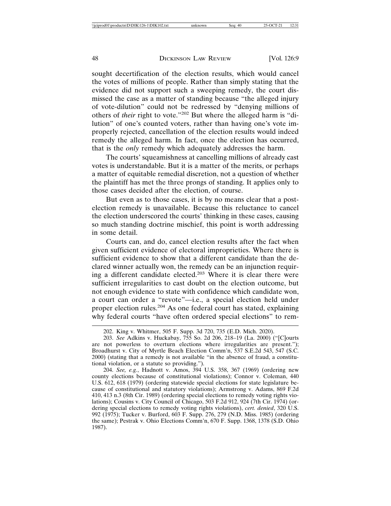sought decertification of the election results, which would cancel the votes of millions of people. Rather than simply stating that the evidence did not support such a sweeping remedy, the court dismissed the case as a matter of standing because "the alleged injury of vote-dilution" could not be redressed by "denying millions of others of *their* right to vote."202 But where the alleged harm is "dilution" of one's counted voters, rather than having one's vote improperly rejected, cancellation of the election results would indeed remedy the alleged harm. In fact, once the election has occurred, that is the *only* remedy which adequately addresses the harm.

The courts' squeamishness at cancelling millions of already cast votes is understandable. But it is a matter of the merits, or perhaps a matter of equitable remedial discretion, not a question of whether the plaintiff has met the three prongs of standing. It applies only to those cases decided after the election, of course.

But even as to those cases, it is by no means clear that a postelection remedy is unavailable. Because this reluctance to cancel the election underscored the courts' thinking in these cases, causing so much standing doctrine mischief, this point is worth addressing in some detail.

Courts can, and do, cancel election results after the fact when given sufficient evidence of electoral improprieties. Where there is sufficient evidence to show that a different candidate than the declared winner actually won, the remedy can be an injunction requiring a different candidate elected.203 Where it is clear there were sufficient irregularities to cast doubt on the election outcome, but not enough evidence to state with confidence which candidate won, a court can order a "revote"—i.e., a special election held under proper election rules.204 As one federal court has stated, explaining why federal courts "have often ordered special elections" to rem-

<sup>202.</sup> King v. Whitmer, 505 F. Supp. 3d 720, 735 (E.D. Mich. 2020).

<sup>203.</sup> *See* Adkins v. Huckabay, 755 So. 2d 206, 218–19 (La. 2000) ("[C]ourts are not powerless to overturn elections where irregularities are present."); Broadhurst v. City of Myrtle Beach Election Comm'n, 537 S.E.2d 543, 547 (S.C. 2000) (stating that a remedy is not available "in the absence of fraud, a constitutional violation, or a statute so providing.").

<sup>204.</sup> *See, e.g.*, Hadnott v. Amos, 394 U.S. 358, 367 (1969) (ordering new county elections because of constitutional violations); Connor v. Coleman, 440 U.S. 612, 618 (1979) (ordering statewide special elections for state legislature because of constitutional and statutory violations); Armstrong v. Adams, 869 F.2d 410, 413 n.3 (8th Cir. 1989) (ordering special elections to remedy voting rights violations); Cousins v. City Council of Chicago, 503 F.2d 912, 924 (7th Cir. 1974) (ordering special elections to remedy voting rights violations), *cert. denied*, 320 U.S. 992 (1975); Tucker v. Burford, 603 F. Supp. 276, 279 (N.D. Miss. 1985) (ordering the same); Pestrak v. Ohio Elections Comm'n, 670 F. Supp. 1368, 1378 (S.D. Ohio 1987).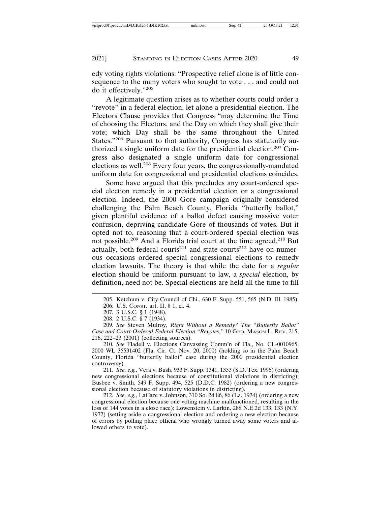edy voting rights violations: "Prospective relief alone is of little consequence to the many voters who sought to vote . . . and could not do it effectively."<sup>205</sup>

A legitimate question arises as to whether courts could order a "revote" in a federal election, let alone a presidential election. The Electors Clause provides that Congress "may determine the Time of choosing the Electors, and the Day on which they shall give their vote; which Day shall be the same throughout the United States."206 Pursuant to that authority, Congress has statutorily authorized a single uniform date for the presidential election.207 Congress also designated a single uniform date for congressional elections as well.208 Every four years, the congressionally-mandated uniform date for congressional and presidential elections coincides.

Some have argued that this precludes any court-ordered special election remedy in a presidential election or a congressional election. Indeed, the 2000 Gore campaign originally considered challenging the Palm Beach County, Florida "butterfly ballot," given plentiful evidence of a ballot defect causing massive voter confusion, depriving candidate Gore of thousands of votes. But it opted not to, reasoning that a court-ordered special election was not possible.209 And a Florida trial court at the time agreed.210 But actually, both federal courts<sup>211</sup> and state courts<sup>212</sup> have on numerous occasions ordered special congressional elections to remedy election lawsuits. The theory is that while the date for a *regular* election should be uniform pursuant to law, a *special* election, by definition, need not be. Special elections are held all the time to fill

211. *See, e.g.*, Vera v. Bush, 933 F. Supp. 1341, 1353 (S.D. Tex. 1996) (ordering new congressional elections because of constitutional violations in districting); Busbee v. Smith, 549 F. Supp. 494, 525 (D.D.C. 1982) (ordering a new congressional election because of statutory violations in districting).

212. *See, e.g.*, LaCaze v. Johnson, 310 So. 2d 86, 86 (La. 1974) (ordering a new congressional election because one voting machine malfunctioned, resulting in the loss of 144 votes in a close race); Lowenstein v. Larkin, 288 N.E.2d 133, 133 (N.Y. 1972) (setting aside a congressional election and ordering a new election because of errors by polling place official who wrongly turned away some voters and allowed others to vote).

<sup>205.</sup> Ketchum v. City Council of Chi., 630 F. Supp. 551, 565 (N.D. Ill. 1985).

<sup>206.</sup> U.S. CONST. art. II, § 1, cl. 4.

<sup>207. 3</sup> U.S.C. § 1 (1948). 208. 2 U.S.C. § 7 (1934).

<sup>209.</sup> *See* Steven Mulroy, *Right Without a Remedy? The "Butterfly Ballot" Case and Court-Ordered Federal Election "Revotes*,*"* 10 GEO. MASON L. REV. 215, 216, 222–23 (2001) (collecting sources).

<sup>210.</sup> *See* Fladell v. Elections Canvassing Comm'n of Fla., No. CL-0010965, 2000 WL 35531402 (Fla. Cir. Ct. Nov. 20, 2000) (holding so in the Palm Beach County, Florida "butterfly ballot" case during the 2000 presidential election controversy).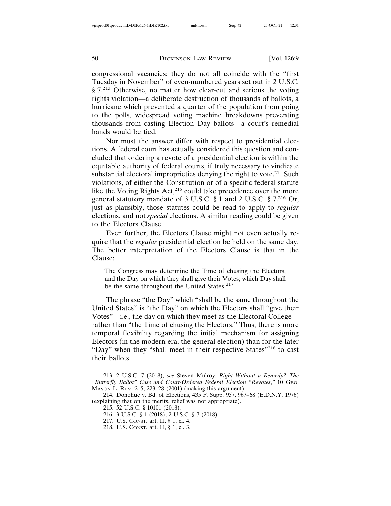congressional vacancies; they do not all coincide with the "first Tuesday in November" of even-numbered years set out in 2 U.S.C. § 7.<sup>213</sup> Otherwise, no matter how clear-cut and serious the voting rights violation—a deliberate destruction of thousands of ballots, a hurricane which prevented a quarter of the population from going to the polls, widespread voting machine breakdowns preventing thousands from casting Election Day ballots—a court's remedial hands would be tied.

Nor must the answer differ with respect to presidential elections. A federal court has actually considered this question and concluded that ordering a revote of a presidential election is within the equitable authority of federal courts, if truly necessary to vindicate substantial electoral improprieties denying the right to vote.<sup>214</sup> Such violations, of either the Constitution or of a specific federal statute like the Voting Rights Act,<sup>215</sup> could take precedence over the more general statutory mandate of 3 U.S.C. § 1 and 2 U.S.C. § 7.216 Or, just as plausibly, those statutes could be read to apply to *regular* elections, and not *special* elections. A similar reading could be given to the Electors Clause.

Even further, the Electors Clause might not even actually require that the *regular* presidential election be held on the same day. The better interpretation of the Electors Clause is that in the Clause:

The Congress may determine the Time of chusing the Electors, and the Day on which they shall give their Votes; which Day shall be the same throughout the United States.<sup>217</sup>

The phrase "the Day" which "shall be the same throughout the United States" is "the Day" on which the Electors shall "give their Votes"—i.e., the day on which they meet as the Electoral College rather than "the Time of chusing the Electors." Thus, there is more temporal flexibility regarding the initial mechanism for assigning Electors (in the modern era, the general election) than for the later "Day" when they "shall meet in their respective States"<sup>218</sup> to cast their ballots.

- 217. U.S. CONST. art. II, § 1, cl. 4.
- 218. U.S. CONST. art. II, § 1, cl. 3.

<sup>213. 2</sup> U.S.C. 7 (2018); *see* Steven Mulroy, *Right Without a Remedy? The "Butterfly Ballot" Case and Court-Ordered Federal Election "Revotes*,*"* 10 GEO. MASON L. REV. 215, 223–28 (2001) (making this argument).

<sup>214.</sup> Donohue v. Bd. of Elections, 435 F. Supp. 957, 967–68 (E.D.N.Y. 1976) (explaining that on the merits, relief was not appropriate).

<sup>215. 52</sup> U.S.C. § 10101 (2018).

<sup>216. 3</sup> U.S.C. § 1 (2018); 2 U.S.C. § 7 (2018).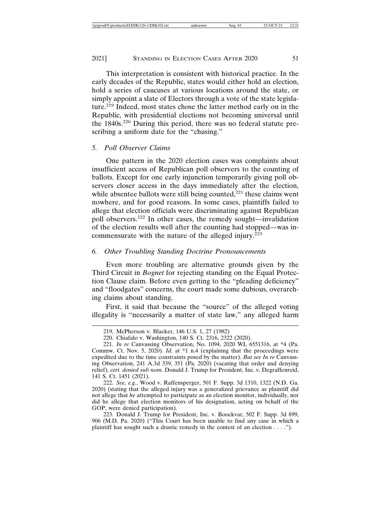#### 2021] STANDING IN ELECTION CASES AFTER 2020 51

This interpretation is consistent with historical practice. In the early decades of the Republic, states would either hold an election, hold a series of caucuses at various locations around the state, or simply appoint a slate of Electors through a vote of the state legislature.219 Indeed, most states chose the latter method early on in the Republic, with presidential elections not becoming universal until the 1840s.220 During this period, there was no federal statute prescribing a uniform date for the "chusing."

## *5. Poll Observer Claims*

One pattern in the 2020 election cases was complaints about insufficient access of Republican poll observers to the counting of ballots. Except for one early injunction temporarily giving poll observers closer access in the days immediately after the election, while absentee ballots were still being counted, $221$  these claims went nowhere, and for good reasons. In some cases, plaintiffs failed to allege that election officials were discriminating against Republican poll observers.222 In other cases, the remedy sought—invalidation of the election results well after the counting had stopped—was incommensurate with the nature of the alleged injury.<sup>223</sup>

## *6. Other Troubling Standing Doctrine Pronouncements*

Even more troubling are alternative grounds given by the Third Circuit in *Bognet* for rejecting standing on the Equal Protection Clause claim. Before even getting to the "pleading deficiency" and "floodgates" concerns, the court made some dubious, overarching claims about standing.

First, it said that because the "source" of the alleged voting illegality is "necessarily a matter of state law," any alleged harm

222. *See, e.g.*, Wood v. Raffensperger, 501 F. Supp. 3d 1310, 1322 (N.D. Ga. 2020) (stating that the alleged injury was a generalized grievance as plaintiff did not allege that *he* attempted to participate as an election monitor, individually, nor did he allege that election monitors of his designation, acting on behalf of the GOP, were denied participation).

223. Donald J. Trump for President, Inc. v. Boockvar, 502 F. Supp. 3d 899, 906 (M.D. Pa. 2020) ("This Court has been unable to find any case in which a plaintiff has sought such a drastic remedy in the contest of an election . . . .").

<sup>219.</sup> McPherson v. Blacker, 146 U.S. 1, 27 (1982)

<sup>220.</sup> Chiafalo v. Washington, 140 S. Ct. 2316, 2322 (2020).

<sup>221.</sup> *In re* Canvassing Observation, No. 1094, 2020 WL 6551316, at \*4 (Pa. Commw. Ct. Nov. 5, 2020). *Id.* at \*1 n.4 (explaining that the proceedings were expedited due to the time constraints posed by the matter). *But see In re* Canvassing Observation, 241 A.3d 339, 351 (Pa. 2020) (vacating that order and denying relief), *cert. denied sub nom*. Donald J. Trump for President, Inc. v. Degraffenreid, 141 S. Ct. 1451 (2021).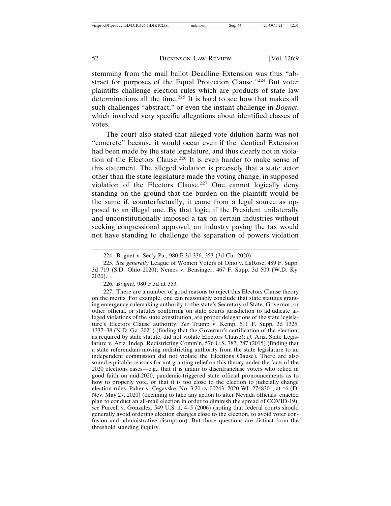stemming from the mail ballot Deadline Extension was thus "abstract for purposes of the Equal Protection Clause."224 But voter plaintiffs challenge election rules which are products of state law determinations all the time.<sup>225</sup> It is hard to see how that makes all such challenges "abstract," or even the instant challenge in *Bognet*, which involved very specific allegations about identified classes of votes.

The court also stated that alleged vote dilution harm was not "concrete" because it would occur even if the identical Extension had been made by the state legislature, and thus clearly not in violation of the Electors Clause.226 It is even harder to make sense of this statement. The alleged violation is precisely that a state actor other than the state legislature made the voting change, in supposed violation of the Electors Clause.<sup>227</sup> One cannot logically deny standing on the ground that the burden on the plaintiff would be the same if, counterfactually, it came from a legal source as opposed to an illegal one. By that logic, if the President unilaterally and unconstitutionally imposed a tax on certain industries without seeking congressional approval, an industry paying the tax would not have standing to challenge the separation of powers violation

227. There are a number of good reasons to reject this Electors Clause theory on the merits. For example, one can reasonably conclude that state statutes granting emergency rulemaking authority to the state's Secretary of State, Governor, or other official, or statutes conferring on state courts jurisdiction to adjudicate alleged violations of the state constitution, are proper delegations of the state legislature's Electors Clause authority. *See* Trump v. Kemp, 511 F. Supp. 3d 1325, 1337–38 (N.D. Ga. 2021) (finding that the Governor's certification of the election, as required by state statute, did not violate Electors Clause); *cf.* Ariz. State Legislature v. Ariz. Indep. Redistricting Comm'n, 576 U.S. 787, 787 (2015) (finding that a state referendum moving redistricting authority from the state legislature to an independent commission did not violate the Elections Clause). There are also sound equitable reasons for not granting relief on this theory under the facts of the 2020 elections cases—e.g., that it is unfair to disenfranchise voters who relied in good faith on mid-2020, pandemic-triggered state official pronouncements as to how to properly vote, or that it is too close to the election to judicially change election rules. Paher v. Cegavske, No. 3:20-cv-00243, 2020 WL 2748301, at \*6 (D. Nev. May 27, 2020) (declining to take any action to alter Nevada officials' enacted plan to conduct an all-mail election in order to diminish the spread of COVID-19); *see* Purcell v. Gonzalez, 549 U.S. 1, 4–5 (2006) (noting that federal courts should generally avoid ordering election changes close to the election, to avoid voter confusion and administrative disruption). But those questions are distinct from the threshold standing inquiry.

<sup>224.</sup> Bognet v. Sec'y Pa., 980 F.3d 336, 353 (3d Cir. 2020).

<sup>225.</sup> *See generally* League of Women Voters of Ohio v. LaRose, 489 F. Supp. 3d 719 (S.D. Ohio 2020); Nemes v. Bensinger, 467 F. Supp. 3d 509 (W.D. Ky. 2020).

<sup>226.</sup> *Bognet*, 980 F.3d at 353.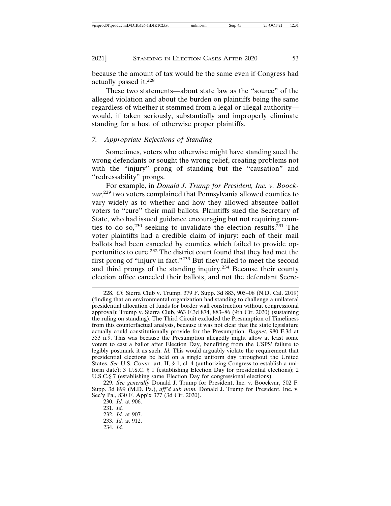2021] STANDING IN ELECTION CASES AFTER 2020 53

because the amount of tax would be the same even if Congress had actually passed it.<sup>228</sup>

These two statements—about state law as the "source" of the alleged violation and about the burden on plaintiffs being the same regardless of whether it stemmed from a legal or illegal authority would, if taken seriously, substantially and improperly eliminate standing for a host of otherwise proper plaintiffs.

## *7. Appropriate Rejections of Standing*

Sometimes, voters who otherwise might have standing sued the wrong defendants or sought the wrong relief, creating problems not with the "injury" prong of standing but the "causation" and "redressability" prongs.

For example, in *Donald J. Trump for President, Inc. v. Boock*var,<sup>229</sup> two voters complained that Pennsylvania allowed counties to vary widely as to whether and how they allowed absentee ballot voters to "cure" their mail ballots. Plaintiffs sued the Secretary of State, who had issued guidance encouraging but not requiring counties to do so,<sup>230</sup> seeking to invalidate the election results.<sup>231</sup> The voter plaintiffs had a credible claim of injury: each of their mail ballots had been canceled by counties which failed to provide opportunities to cure.<sup>232</sup> The district court found that they had met the first prong of "injury in fact."233 But they failed to meet the second and third prongs of the standing inquiry.234 Because their county election office canceled their ballots, and not the defendant Secre-

<sup>228.</sup> *Cf.* Sierra Club v. Trump, 379 F. Supp. 3d 883, 905–08 (N.D. Cal. 2019) (finding that an environmental organization had standing to challenge a unilateral presidential allocation of funds for border wall construction without congressional approval); Trump v. Sierra Club, 963 F.3d 874, 883–86 (9th Cir. 2020) (sustaining the ruling on standing). The Third Circuit excluded the Presumption of Timeliness from this counterfactual analysis, because it was not clear that the state legislature actually could constitutionally provide for the Presumption. *Bognet*, 980 F.3d at 353 n.9. This was because the Presumption allegedly might allow at least some voters to cast a ballot after Election Day, benefiting from the USPS' failure to legibly postmark it as such. *Id.* This would arguably violate the requirement that presidential elections be held on a single uniform day throughout the United States. *See U.S.* CONST. art. II, § 1, cl. 4 (authorizing Congress to establish a uniform date); 3 U.S.C. § 1 (establishing Election Day for presidential elections); 2 U.S.C.§ 7 (establishing same Election Day for congressional elections).

<sup>229.</sup> *See generally* Donald J. Trump for President, Inc. v. Boockvar, 502 F. Supp. 3d 899 (M.D. Pa.), *aff'd sub nom.* Donald J. Trump for President, Inc. v. Sec'y Pa., 830 F. App'x 377 (3d Cir. 2020).

<sup>230.</sup> *Id.* at 906.

<sup>231.</sup> *Id.*

<sup>232.</sup> *Id.* at 907. 233. *Id.* at 912.

<sup>234.</sup> *Id.*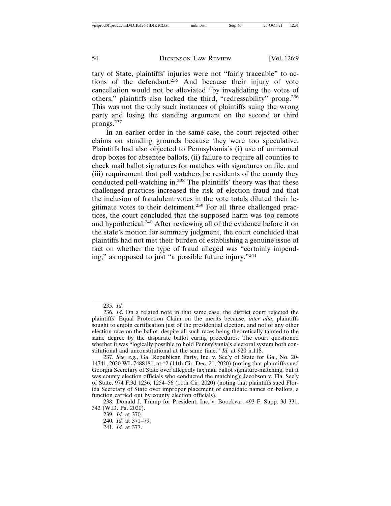tary of State, plaintiffs' injuries were not "fairly traceable" to actions of the defendant.<sup>235</sup> And because their injury of vote cancellation would not be alleviated "by invalidating the votes of others," plaintiffs also lacked the third, "redressability" prong.<sup>236</sup> This was not the only such instances of plaintiffs suing the wrong party and losing the standing argument on the second or third prongs.<sup>237</sup>

In an earlier order in the same case, the court rejected other claims on standing grounds because they were too speculative. Plaintiffs had also objected to Pennsylvania's (i) use of unmanned drop boxes for absentee ballots, (ii) failure to require all counties to check mail ballot signatures for matches with signatures on file, and (iii) requirement that poll watchers be residents of the county they conducted poll-watching in.<sup>238</sup> The plaintiffs' theory was that these challenged practices increased the risk of election fraud and that the inclusion of fraudulent votes in the vote totals diluted their legitimate votes to their detriment.<sup>239</sup> For all three challenged practices, the court concluded that the supposed harm was too remote and hypothetical.240 After reviewing all of the evidence before it on the state's motion for summary judgment, the court concluded that plaintiffs had not met their burden of establishing a genuine issue of fact on whether the type of fraud alleged was "certainly impending," as opposed to just "a possible future injury."<sup>241</sup>

239. *Id.* at 370.

<sup>235.</sup> *Id.*

<sup>236.</sup> *Id*. On a related note in that same case, the district court rejected the plaintiffs' Equal Protection Claim on the merits because, *inter alia*, plaintiffs sought to enjoin certification just of the presidential election, and not of any other election race on the ballot, despite all such races being theoretically tainted to the same degree by the disparate ballot curing procedures. The court questioned whether it was "logically possible to hold Pennsylvania's electoral system both constitutional and unconstitutional at the same time." *Id.* at 920 n.118.

<sup>237.</sup> *See, e.g.*, Ga. Republican Party, Inc. v. Sec'y of State for Ga., No. 20- 14741, 2020 WL 7488181, at \*2 (11th Cir. Dec. 21, 2020) (noting that plaintiffs sued Georgia Secretary of State over allegedly lax mail ballot signature-matching, but it was county election officials who conducted the matching); Jacobson v. Fla. Sec'y of State, 974 F.3d 1236, 1254–56 (11th Cir. 2020) (noting that plaintiffs sued Florida Secretary of State over improper placement of candidate names on ballots, a function carried out by county election officials).

<sup>238.</sup> Donald J. Trump for President, Inc. v. Boockvar, 493 F. Supp. 3d 331, 342 (W.D. Pa. 2020).

<sup>240.</sup> *Id.* at 371–79. 241. *Id.* at 377.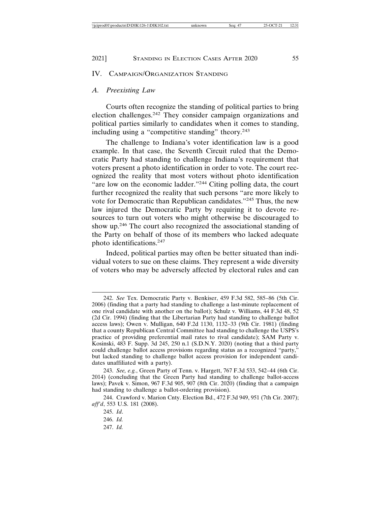#### 2021] STANDING IN ELECTION CASES AFTER 2020 55

## IV. CAMPAIGN/ORGANIZATION STANDING

### *A. Preexisting Law*

Courts often recognize the standing of political parties to bring election challenges.242 They consider campaign organizations and political parties similarly to candidates when it comes to standing, including using a "competitive standing" theory.<sup>243</sup>

The challenge to Indiana's voter identification law is a good example. In that case, the Seventh Circuit ruled that the Democratic Party had standing to challenge Indiana's requirement that voters present a photo identification in order to vote. The court recognized the reality that most voters without photo identification "are low on the economic ladder."<sup>244</sup> Citing polling data, the court further recognized the reality that such persons "are more likely to vote for Democratic than Republican candidates."245 Thus, the new law injured the Democratic Party by requiring it to devote resources to turn out voters who might otherwise be discouraged to show up.246 The court also recognized the associational standing of the Party on behalf of those of its members who lacked adequate photo identifications.<sup>247</sup>

Indeed, political parties may often be better situated than individual voters to sue on these claims. They represent a wide diversity of voters who may be adversely affected by electoral rules and can

247. *Id.*

<sup>242.</sup> *See* Tex. Democratic Party v. Benkiser, 459 F.3d 582, 585–86 (5th Cir. 2006) (finding that a party had standing to challenge a last-minute replacement of one rival candidate with another on the ballot); Schulz v. Williams, 44 F.3d 48, 52 (2d Cir. 1994) (finding that the Libertarian Party had standing to challenge ballot access laws); Owen v. Mulligan, 640 F.2d 1130, 1132–33 (9th Cir. 1981) (finding that a county Republican Central Committee had standing to challenge the USPS's practice of providing preferential mail rates to rival candidate); SAM Party v. Kosinski, 483 F. Supp. 3d 245, 250 n.1 (S.D.N.Y. 2020) (noting that a third party could challenge ballot access provisions regarding status as a recognized "party," but lacked standing to challenge ballot access provision for independent candidates unaffiliated with a party).

<sup>243.</sup> *See, e.g.*, Green Party of Tenn. v. Hargett, 767 F.3d 533, 542–44 (6th Cir. 2014) (concluding that the Green Party had standing to challenge ballot-access laws); Pavek v. Simon, 967 F.3d 905, 907 (8th Cir. 2020) (finding that a campaign had standing to challenge a ballot-ordering provision).

<sup>244.</sup> Crawford v. Marion Cnty. Election Bd., 472 F.3d 949, 951 (7th Cir. 2007); *aff'd*, 553 U.S. 181 (2008).

<sup>245.</sup> *Id*.

<sup>246.</sup> *Id.*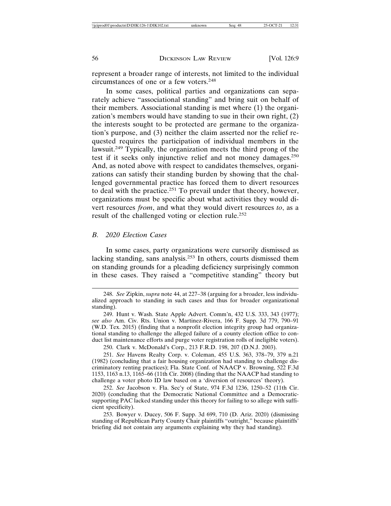represent a broader range of interests, not limited to the individual circumstances of one or a few voters.<sup>248</sup>

In some cases, political parties and organizations can separately achieve "associational standing" and bring suit on behalf of their members. Associational standing is met where (1) the organization's members would have standing to sue in their own right, (2) the interests sought to be protected are germane to the organization's purpose, and (3) neither the claim asserted nor the relief requested requires the participation of individual members in the lawsuit.249 Typically, the organization meets the third prong of the test if it seeks only injunctive relief and not money damages.<sup>250</sup> And, as noted above with respect to candidates themselves, organizations can satisfy their standing burden by showing that the challenged governmental practice has forced them to divert resources to deal with the practice.<sup>251</sup> To prevail under that theory, however, organizations must be specific about what activities they would divert resources *from*, and what they would divert resources *to*, as a result of the challenged voting or election rule.<sup>252</sup>

#### *B. 2020 Election Cases*

In some cases, party organizations were cursorily dismissed as lacking standing, sans analysis.253 In others, courts dismissed them on standing grounds for a pleading deficiency surprisingly common in these cases. They raised a "competitive standing" theory but

250. Clark v. McDonald's Corp., 213 F.R.D. 198, 207 (D.N.J. 2003).

251. *See* Havens Realty Corp. v. Coleman, 455 U.S. 363, 378–79, 379 n.21 (1982) (concluding that a fair housing organization had standing to challenge discriminatory renting practices); Fla. State Conf. of NAACP v. Browning, 522 F.3d 1153, 1163 n.13, 1165–66 (11th Cir. 2008) (finding that the NAACP had standing to challenge a voter photo ID law based on a 'diversion of resources' theory).

<sup>248.</sup> *See* Zipkin, *supra* note 44, at 227–38 (arguing for a broader, less individualized approach to standing in such cases and thus for broader organizational standing).

<sup>249.</sup> Hunt v. Wash. State Apple Advert. Comm'n, 432 U.S. 333, 343 (1977); *see also* Am. Civ. Rts. Union v. Martinez-Rivera, 166 F. Supp. 3d 779, 790–91 (W.D. Tex. 2015) (finding that a nonprofit election integrity group had organizational standing to challenge the alleged failure of a county election office to conduct list maintenance efforts and purge voter registration rolls of ineligible voters).

<sup>252.</sup> *See* Jacobson v. Fla. Sec'y of State, 974 F.3d 1236, 1250–52 (11th Cir. 2020) (concluding that the Democratic National Committee and a Democraticsupporting PAC lacked standing under this theory for failing to so allege with sufficient specificity).

<sup>253.</sup> Bowyer v. Ducey, 506 F. Supp. 3d 699, 710 (D. Ariz. 2020) (dismissing standing of Republican Party County Chair plaintiffs "outright," because plaintiffs' briefing did not contain any arguments explaining why they had standing).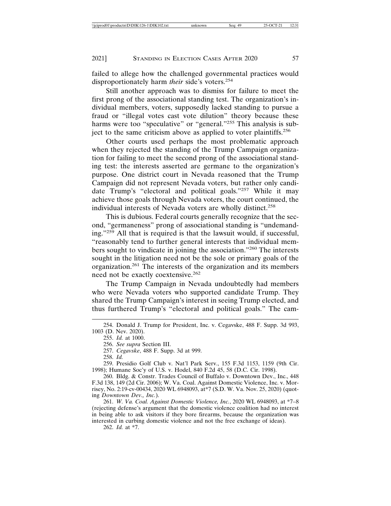failed to allege how the challenged governmental practices would disproportionately harm *their* side's voters.<sup>254</sup>

Still another approach was to dismiss for failure to meet the first prong of the associational standing test. The organization's individual members, voters, supposedly lacked standing to pursue a fraud or "illegal votes cast vote dilution" theory because these harms were too "speculative" or "general."<sup>255</sup> This analysis is subject to the same criticism above as applied to voter plaintiffs.<sup>256</sup>

Other courts used perhaps the most problematic approach when they rejected the standing of the Trump Campaign organization for failing to meet the second prong of the associational standing test: the interests asserted are germane to the organization's purpose. One district court in Nevada reasoned that the Trump Campaign did not represent Nevada voters, but rather only candidate Trump's "electoral and political goals."257 While it may achieve those goals through Nevada voters, the court continued, the individual interests of Nevada voters are wholly distinct.<sup>258</sup>

This is dubious. Federal courts generally recognize that the second, "germaneness" prong of associational standing is "undemanding."259 All that is required is that the lawsuit would, if successful, "reasonably tend to further general interests that individual members sought to vindicate in joining the association."260 The interests sought in the litigation need not be the sole or primary goals of the organization.261 The interests of the organization and its members need not be exactly coextensive.<sup>262</sup>

The Trump Campaign in Nevada undoubtedly had members who were Nevada voters who supported candidate Trump. They shared the Trump Campaign's interest in seeing Trump elected, and thus furthered Trump's "electoral and political goals." The cam-

257. *Cegavske*, 488 F. Supp. 3d at 999.

262. *Id.* at \*7.

<sup>254.</sup> Donald J. Trump for President, Inc. v. Cegavske, 488 F. Supp. 3d 993, 1003 (D. Nev. 2020).

<sup>255.</sup> *Id.* at 1000.

<sup>256.</sup> *See supra* Section III.

<sup>258.</sup> *Id.*

<sup>259.</sup> Presidio Golf Club v. Nat'l Park Serv., 155 F.3d 1153, 1159 (9th Cir. 1998); Humane Soc'y of U.S. v. Hodel, 840 F.2d 45, 58 (D.C. Cir. 1998).

<sup>260.</sup> Bldg. & Constr. Trades Council of Buffalo v. Downtown Dev., Inc., 448 F.3d 138, 149 (2d Cir. 2006); W. Va. Coal. Against Domestic Violence, Inc. v. Morrisey, No. 2:19-cv-00434, 2020 WL 6948093, at\*7 (S.D. W. Va. Nov. 25, 2020) (quoting *Downtown Dev., Inc.*).

<sup>261.</sup> *W. Va. Coal. Against Domestic Violence, Inc.*, 2020 WL 6948093, at \*7–8 (rejecting defense's argument that the domestic violence coalition had no interest in being able to ask visitors if they bore firearms, because the organization was interested in curbing domestic violence and not the free exchange of ideas).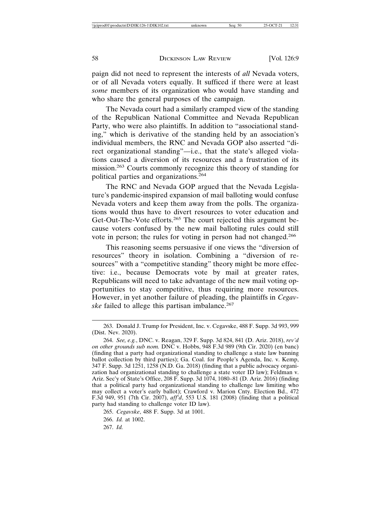paign did not need to represent the interests of *all* Nevada voters, or of all Nevada voters equally. It sufficed if there were at least *some* members of its organization who would have standing and who share the general purposes of the campaign.

The Nevada court had a similarly cramped view of the standing of the Republican National Committee and Nevada Republican Party, who were also plaintiffs. In addition to "associational standing," which is derivative of the standing held by an association's individual members, the RNC and Nevada GOP also asserted "direct organizational standing"—i.e., that the state's alleged violations caused a diversion of its resources and a frustration of its mission.263 Courts commonly recognize this theory of standing for political parties and organizations.<sup>264</sup>

The RNC and Nevada GOP argued that the Nevada Legislature's pandemic-inspired expansion of mail balloting would confuse Nevada voters and keep them away from the polls. The organizations would thus have to divert resources to voter education and Get-Out-The-Vote efforts.<sup>265</sup> The court rejected this argument because voters confused by the new mail balloting rules could still vote in person; the rules for voting in person had not changed.<sup>266</sup>

This reasoning seems persuasive if one views the "diversion of resources" theory in isolation. Combining a "diversion of resources" with a "competitive standing" theory might be more effective: i.e., because Democrats vote by mail at greater rates, Republicans will need to take advantage of the new mail voting opportunities to stay competitive, thus requiring more resources. However, in yet another failure of pleading, the plaintiffs in *Cegavske* failed to allege this partisan imbalance.<sup>267</sup>

<sup>263.</sup> Donald J. Trump for President, Inc. v. Cegavske, 488 F. Supp. 3d 993, 999 (Dist. Nev. 2020).

<sup>264.</sup> *See, e.g.*, DNC. v. Reagan, 329 F. Supp. 3d 824, 841 (D. Ariz. 2018), *rev'd on other grounds sub nom.* DNC v. Hobbs, 948 F.3d 989 (9th Cir. 2020) (en banc) (finding that a party had organizational standing to challenge a state law banning ballot collection by third parties); Ga. Coal. for People's Agenda, Inc. v. Kemp, 347 F. Supp. 3d 1251, 1258 (N.D. Ga. 2018) (finding that a public advocacy organization had organizational standing to challenge a state voter ID law); Feldman v. Ariz. Sec'y of State's Office, 208 F. Supp. 3d 1074, 1080–81 (D. Ariz. 2016) (finding that a political party had organizational standing to challenge law limiting who may collect a voter's early ballot); Crawford v. Marion Cnty. Election Bd., 472 F.3d 949, 951 (7th Cir. 2007), *aff'd*, 553 U.S. 181 (2008) (finding that a political party had standing to challenge voter ID law).

<sup>265.</sup> *Cegavske*, 488 F. Supp. 3d at 1001.

<sup>266.</sup> *Id.* at 1002.

<sup>267.</sup> *Id.*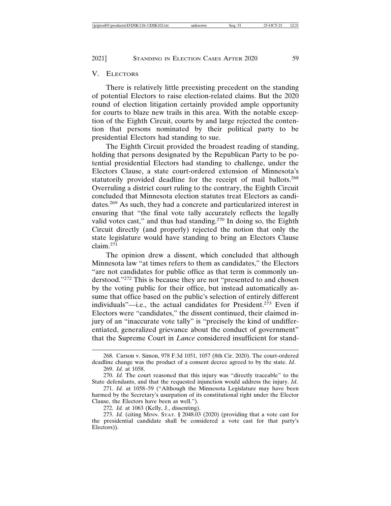## V. ELECTORS

There is relatively little preexisting precedent on the standing of potential Electors to raise election-related claims. But the 2020 round of election litigation certainly provided ample opportunity for courts to blaze new trails in this area. With the notable exception of the Eighth Circuit, courts by and large rejected the contention that persons nominated by their political party to be presidential Electors had standing to sue.

The Eighth Circuit provided the broadest reading of standing, holding that persons designated by the Republican Party to be potential presidential Electors had standing to challenge, under the Electors Clause, a state court-ordered extension of Minnesota's statutorily provided deadline for the receipt of mail ballots.<sup>268</sup> Overruling a district court ruling to the contrary, the Eighth Circuit concluded that Minnesota election statutes treat Electors as candidates.269 As such, they had a concrete and particularized interest in ensuring that "the final vote tally accurately reflects the legally valid votes cast," and thus had standing.<sup>270</sup> In doing so, the Eighth Circuit directly (and properly) rejected the notion that only the state legislature would have standing to bring an Electors Clause  $claim.$ <sup>271</sup>

The opinion drew a dissent, which concluded that although Minnesota law "at times refers to them as candidates," the Electors "are not candidates for public office as that term is commonly understood."272 This is because they are not "presented to and chosen by the voting public for their office, but instead automatically assume that office based on the public's selection of entirely different individuals"—i.e., the actual candidates for President.<sup>273</sup> Even if Electors were "candidates," the dissent continued, their claimed injury of an "inaccurate vote tally" is "precisely the kind of undifferentiated, generalized grievance about the conduct of government" that the Supreme Court in *Lance* considered insufficient for stand-

<sup>268.</sup> Carson v. Simon, 978 F.3d 1051, 1057 (8th Cir. 2020). The court-ordered deadline change was the product of a consent decree agreed to by the state. *Id*. 269. *Id.* at 1058.

<sup>270.</sup> *Id.* The court reasoned that this injury was "directly traceable" to the State defendants, and that the requested injunction would address the injury. *Id*.

<sup>271.</sup> *Id.* at 1058–59 ("Although the Minnesota Legislature may have been harmed by the Secretary's usurpation of its constitutional right under the Elector Clause, the Electors have been as well.").

<sup>272.</sup> *Id.* at 1063 (Kelly, J., dissenting).

<sup>273.</sup> *Id.* (citing M<sub>INN</sub>. S<sub>TAT</sub>.  $\S$  2048.03 (2020) (providing that a vote cast for the presidential candidate shall be considered a vote cast for that party's Electors)).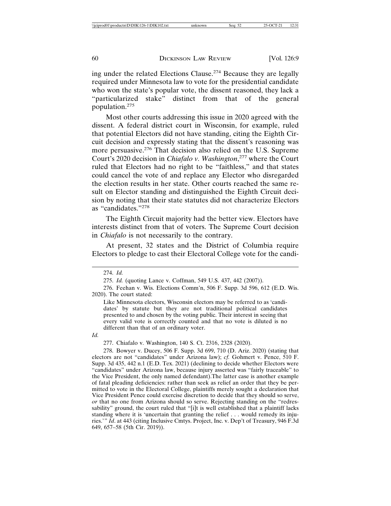ing under the related Elections Clause.274 Because they are legally required under Minnesota law to vote for the presidential candidate who won the state's popular vote, the dissent reasoned, they lack a "particularized stake" distinct from that of the general population.275

Most other courts addressing this issue in 2020 agreed with the dissent. A federal district court in Wisconsin, for example, ruled that potential Electors did not have standing, citing the Eighth Circuit decision and expressly stating that the dissent's reasoning was more persuasive.276 That decision also relied on the U.S. Supreme Court's 2020 decision in *Chiafalo v. Washington*, 277 where the Court ruled that Electors had no right to be "faithless," and that states could cancel the vote of and replace any Elector who disregarded the election results in her state. Other courts reached the same result on Elector standing and distinguished the Eighth Circuit decision by noting that their state statutes did not characterize Electors as "candidates."278

The Eighth Circuit majority had the better view. Electors have interests distinct from that of voters. The Supreme Court decision in *Chiafalo* is not necessarily to the contrary.

At present, 32 states and the District of Columbia require Electors to pledge to cast their Electoral College vote for the candi-

Like Minnesota electors, Wisconsin electors may be referred to as 'candidates' by statute but they are not traditional political candidates presented to and chosen by the voting public. Their interest in seeing that every valid vote is correctly counted and that no vote is diluted is no different than that of an ordinary voter.

*Id.*

277. Chiafalo v. Washington, 140 S. Ct. 2316, 2328 (2020).

278. Bowyer v. Ducey, 506 F. Supp. 3d 699, 710 (D. Ariz. 2020) (stating that electors are not "candidates" under Arizona law); *cf.* Gohmert v. Pence, 510 F. Supp. 3d 435, 442 n.1 (E.D. Tex. 2021) (declining to decide whether Electors were "candidates" under Arizona law, because injury asserted was "fairly traceable" to the Vice President, the only named defendant).The latter case is another example of fatal pleading deficiencies: rather than seek as relief an order that they be permitted to vote in the Electoral College, plaintiffs merely sought a declaration that Vice President Pence could exercise discretion to decide that they should so serve, *or* that no one from Arizona should so serve. Rejecting standing on the "redressability" ground, the court ruled that "[i]t is well established that a plaintiff lacks standing where it is 'uncertain that granting the relief . . . would remedy its injuries.'" *Id*. at 443 (citing Inclusive Cmtys. Project, Inc. v. Dep't of Treasury, 946 F.3d 649, 657–58 (5th Cir. 2019)).

<sup>274.</sup> *Id.*

<sup>275.</sup> *Id.* (quoting Lance v. Coffman, 549 U.S. 437, 442 (2007)).

<sup>276.</sup> Feehan v. Wis. Elections Comm'n, 506 F. Supp. 3d 596, 612 (E.D. Wis. 2020). The court stated: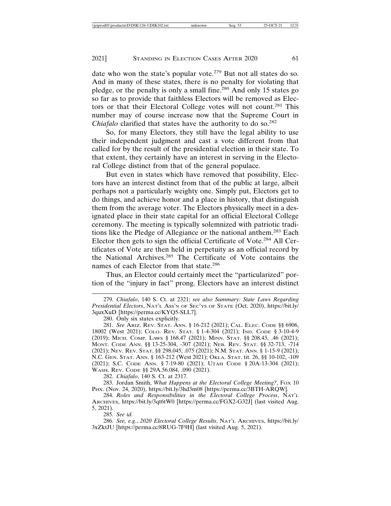date who won the state's popular vote.<sup>279</sup> But not all states do so. And in many of these states, there is no penalty for violating that pledge, or the penalty is only a small fine.<sup>280</sup> And only 15 states go so far as to provide that faithless Electors will be removed as Electors or that their Electoral College votes will not count.281 This number may of course increase now that the Supreme Court in *Chiafalo* clarified that states have the authority to do so.<sup>282</sup>

So, for many Electors, they still have the legal ability to use their independent judgment and cast a vote different from that called for by the result of the presidential election in their state. To that extent, they certainly have an interest in serving in the Electoral College distinct from that of the general populace.

But even in states which have removed that possibility, Electors have an interest distinct from that of the public at large, albeit perhaps not a particularly weighty one. Simply put, Electors get to do things, and achieve honor and a place in history, that distinguish them from the average voter. The Electors physically meet in a designated place in their state capital for an official Electoral College ceremony. The meeting is typically solemnized with patriotic traditions like the Pledge of Allegiance or the national anthem.283 Each Elector then gets to sign the official Certificate of Vote.284 All Certificates of Vote are then held in perpetuity as an official record by the National Archives.285 The Certificate of Vote contains the names of each Elector from that state.<sup>286</sup>

Thus, an Elector could certainly meet the "particularized" portion of the "injury in fact" prong. Electors have an interest distinct

280. Only six states explicitly.

281. *See* ARIZ. REV. STAT. ANN. § 16-212 (2021); CAL. ELEC. CODE §§ 6906, 18002 (West 2021); COLO. REV. STAT. § 1-4-304 (2021); IND. CODE § 3-10-4-9 (2019); MICH. COMP. LAWS § 168.47 (2021); MINN. STAT. §§ 208.43, .46 (2021); MONT. CODE ANN. §§ 13-25-304, -307 (2021); NEB. REV. STAT. §§ 32-713, -714 (2021); NEV. REV. STAT. §§ 298.045, .075 (2021); N.M. STAT. ANN. § 1-15-9 (2021); N.C. GEN. STAT. ANN. § 163-212 (West 2021); OKLA. STAT. tit. 26, §§ 10-102, -109 (2021); S.C. CODE ANN. § 7-19-80 (2021); UTAH CODE § 20A-13-304 (2021); WASH. REV. CODE §§ 29A.56.084, .090 (2021).

282. *Chiafalo*, 140 S. Ct. at 2317.

283. Jordan Smith, *What Happens at the Electoral College Meeting?*, FOX 10 PHX. (Nov. 24, 2020), https://bit.ly/3hd3m08 [https://perma.cc/3BTH-ARQW].

284. *Roles and Responsibilities in the Electoral College Process*, NAT'L ARCHIVES, https://bit.ly/3qt6tW0 [https://perma.cc/FGX2-G32J] (last visited Aug. 5, 2021).

285. *See id.*

286. *See, e.g.*, *2020 Electoral College Results*, NAT'L ARCHIVES, https://bit.ly/ 3xZktJU [https://perma.cc/8RUG-7F9H] (last visited Aug. 5, 2021).

<sup>279.</sup> *Chiafalo*, 140 S. Ct. at 2321; *see also Summary: State Laws Regarding Presidential Electors*, NAT'L ASS'N OF SEC'YS OF STATE (Oct. 2020), https://bit.ly/ 3quxXuD [https://perma.cc/KYQ5-SLL7].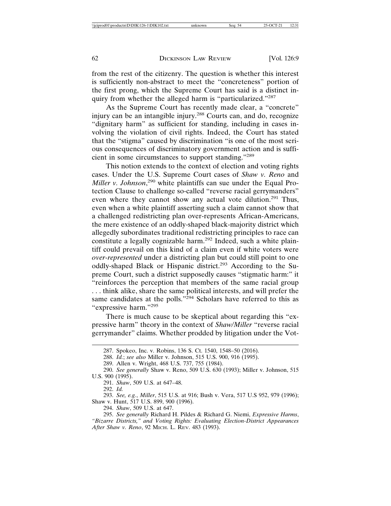from the rest of the citizenry. The question is whether this interest is sufficiently non-abstract to meet the "concreteness" portion of the first prong, which the Supreme Court has said is a distinct inquiry from whether the alleged harm is "particularized."<sup>287</sup>

As the Supreme Court has recently made clear, a "concrete" injury can be an intangible injury.<sup>288</sup> Courts can, and do, recognize "dignitary harm" as sufficient for standing, including in cases involving the violation of civil rights. Indeed, the Court has stated that the "stigma" caused by discrimination "is one of the most serious consequences of discriminatory government action and is sufficient in some circumstances to support standing."<sup>289</sup>

This notion extends to the context of election and voting rights cases. Under the U.S. Supreme Court cases of *Shaw v. Reno* and *Miller v. Johnson*, 290 white plaintiffs can sue under the Equal Protection Clause to challenge so-called "reverse racial gerrymanders" even where they cannot show any actual vote dilution.<sup>291</sup> Thus, even when a white plaintiff asserting such a claim cannot show that a challenged redistricting plan over-represents African-Americans, the mere existence of an oddly-shaped black-majority district which allegedly subordinates traditional redistricting principles to race can constitute a legally cognizable harm.<sup>292</sup> Indeed, such a white plaintiff could prevail on this kind of a claim even if white voters were *over-represented* under a districting plan but could still point to one oddly-shaped Black or Hispanic district.<sup>293</sup> According to the Supreme Court, such a district supposedly causes "stigmatic harm:" it "reinforces the perception that members of the same racial group . . . think alike, share the same political interests, and will prefer the same candidates at the polls."<sup>294</sup> Scholars have referred to this as "expressive harm."295

There is much cause to be skeptical about regarding this "expressive harm" theory in the context of *Shaw/Miller* "reverse racial gerrymander" claims. Whether prodded by litigation under the Vot-

291. *Shaw*, 509 U.S. at 647–48.

292. *Id.*

293. *See, e.g.*, *Miller*, 515 U.S. at 916; Bush v. Vera, 517 U.S 952, 979 (1996); Shaw v. Hunt, 517 U.S. 899, 900 (1996).

294. *Shaw*, 509 U.S. at 647.

<sup>287.</sup> Spokeo, Inc. v. Robins, 136 S. Ct. 1540, 1548–50 (2016).

<sup>288.</sup> *Id.*; *see also* Miller v. Johnson, 515 U.S. 900, 916 (1995).

<sup>289.</sup> Allen v. Wright, 468 U.S. 737, 755 (1984).

<sup>290.</sup> *See generally* Shaw v. Reno, 509 U.S. 630 (1993); Miller v. Johnson, 515 U.S. 900 (1995).

<sup>295.</sup> *See generally* Richard H. Pildes & Richard G. Niemi, *Expressive Harms*, *"Bizarre Districts," and Voting Rights: Evaluating Election-District Appearances After Shaw v. Reno*, 92 MICH. L. REV. 483 (1993).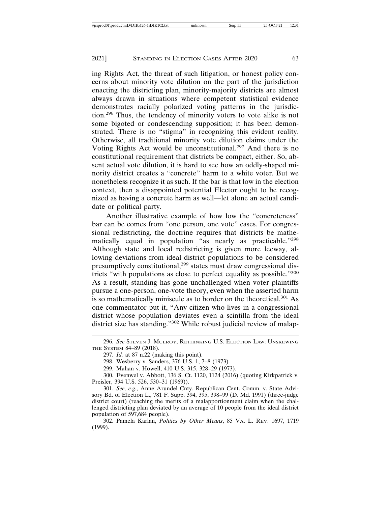ing Rights Act, the threat of such litigation, or honest policy concerns about minority vote dilution on the part of the jurisdiction enacting the districting plan, minority-majority districts are almost always drawn in situations where competent statistical evidence demonstrates racially polarized voting patterns in the jurisdiction.296 Thus, the tendency of minority voters to vote alike is not some bigoted or condescending supposition; it has been demonstrated. There is no "stigma" in recognizing this evident reality. Otherwise, all traditional minority vote dilution claims under the Voting Rights Act would be unconstitutional.297 And there is no constitutional requirement that districts be compact, either. So, absent actual vote dilution, it is hard to see how an oddly-shaped minority district creates a "concrete" harm to a white voter. But we nonetheless recognize it as such. If the bar is that low in the election context, then a disappointed potential Elector ought to be recognized as having a concrete harm as well—let alone an actual candidate or political party.

Another illustrative example of how low the "concreteness" bar can be comes from "one person, one vote" cases. For congressional redistricting, the doctrine requires that districts be mathematically equal in population "as nearly as practicable."<sup>298</sup> Although state and local redistricting is given more leeway, allowing deviations from ideal district populations to be considered presumptively constitutional,<sup>299</sup> states must draw congressional districts "with populations as close to perfect equality as possible."<sup>300</sup> As a result, standing has gone unchallenged when voter plaintiffs pursue a one-person, one-vote theory, even when the asserted harm is so mathematically miniscule as to border on the theoretical.<sup>301</sup> As one commentator put it, "Any citizen who lives in a congressional district whose population deviates even a scintilla from the ideal district size has standing."<sup>302</sup> While robust judicial review of malap-

302. Pamela Karlan, *Politics by Other Means*, 85 VA. L. REV. 1697, 1719 (1999).

<sup>296.</sup> *See* STEVEN J. MULROY, RETHINKING U.S. ELECTION LAW: UNSKEWING THE SYSTEM 84–89 (2018).

<sup>297.</sup> *Id.* at 87 n.22 (making this point).

<sup>298.</sup> Wesberry v. Sanders, 376 U.S. 1, 7–8 (1973).

<sup>299.</sup> Mahan v. Howell, 410 U.S. 315, 328–29 (1973).

<sup>300.</sup> Evenwel v. Abbott, 136 S. Ct. 1120, 1124 (2016) (quoting Kirkpatrick v. Preisler, 394 U.S. 526, 530–31 (1969)).

<sup>301.</sup> *See, e.g.*, Anne Arundel Cnty. Republican Cent. Comm. v. State Advisory Bd. of Election L., 781 F. Supp. 394, 395, 398–99 (D. Md. 1991) (three-judge district court) (reaching the merits of a malapportionment claim when the challenged districting plan deviated by an average of 10 people from the ideal district population of 597,684 people).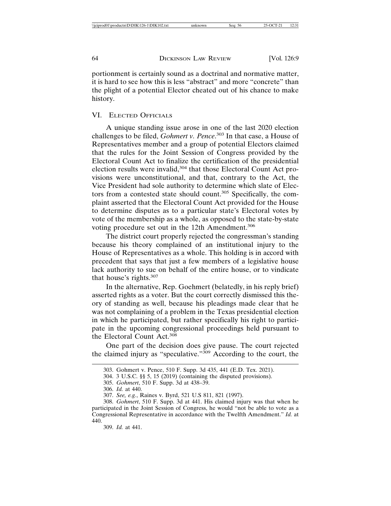portionment is certainly sound as a doctrinal and normative matter, it is hard to see how this is less "abstract" and more "concrete" than the plight of a potential Elector cheated out of his chance to make history.

#### VI. ELECTED OFFICIALS

A unique standing issue arose in one of the last 2020 election challenges to be filed, *Gohmert v. Pence*. 303 In that case, a House of Representatives member and a group of potential Electors claimed that the rules for the Joint Session of Congress provided by the Electoral Count Act to finalize the certification of the presidential election results were invalid,<sup>304</sup> that those Electoral Count Act provisions were unconstitutional, and that, contrary to the Act, the Vice President had sole authority to determine which slate of Electors from a contested state should count.<sup>305</sup> Specifically, the complaint asserted that the Electoral Count Act provided for the House to determine disputes as to a particular state's Electoral votes by vote of the membership as a whole, as opposed to the state-by-state voting procedure set out in the 12th Amendment.<sup>306</sup>

The district court properly rejected the congressman's standing because his theory complained of an institutional injury to the House of Representatives as a whole. This holding is in accord with precedent that says that just a few members of a legislative house lack authority to sue on behalf of the entire house, or to vindicate that house's rights.<sup>307</sup>

In the alternative, Rep. Goehmert (belatedly, in his reply brief) asserted rights as a voter. But the court correctly dismissed this theory of standing as well, because his pleadings made clear that he was not complaining of a problem in the Texas presidential election in which he participated, but rather specifically his right to participate in the upcoming congressional proceedings held pursuant to the Electoral Count Act.<sup>308</sup>

One part of the decision does give pause. The court rejected the claimed injury as "speculative."309 According to the court, the

- 305. *Gohmert*, 510 F. Supp. 3d at 438–39.
- 306. *Id.* at 440.

309. *Id.* at 441.

<sup>303.</sup> Gohmert v. Pence, 510 F. Supp. 3d 435, 441 (E.D. Tex. 2021).

<sup>304. 3</sup> U.S.C. §§ 5, 15 (2019) (containing the disputed provisions).

<sup>307.</sup> *See, e.g.*, Raines v. Byrd, 521 U.S 811, 821 (1997).

<sup>308.</sup> *Gohmert*, 510 F. Supp. 3d at 441. His claimed injury was that when he participated in the Joint Session of Congress, he would "not be able to vote as a Congressional Representative in accordance with the Twelfth Amendment." *Id.* at 440.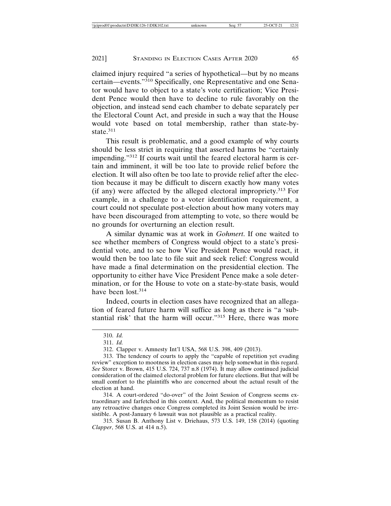claimed injury required "a series of hypothetical—but by no means certain—events."310 Specifically, one Representative and one Senator would have to object to a state's vote certification; Vice President Pence would then have to decline to rule favorably on the objection, and instead send each chamber to debate separately per the Electoral Count Act, and preside in such a way that the House would vote based on total membership, rather than state-bystate.<sup>311</sup>

This result is problematic, and a good example of why courts should be less strict in requiring that asserted harms be "certainly impending."312 If courts wait until the feared electoral harm is certain and imminent, it will be too late to provide relief before the election. It will also often be too late to provide relief after the election because it may be difficult to discern exactly how many votes (if any) were affected by the alleged electoral impropriety.313 For example, in a challenge to a voter identification requirement, a court could not speculate post-election about how many voters may have been discouraged from attempting to vote, so there would be no grounds for overturning an election result.

A similar dynamic was at work in *Gohmert*. If one waited to see whether members of Congress would object to a state's presidential vote, and to see how Vice President Pence would react, it would then be too late to file suit and seek relief: Congress would have made a final determination on the presidential election. The opportunity to either have Vice President Pence make a sole determination, or for the House to vote on a state-by-state basis, would have been lost.<sup>314</sup>

Indeed, courts in election cases have recognized that an allegation of feared future harm will suffice as long as there is "a 'substantial risk' that the harm will occur."<sup>315</sup> Here, there was more

314. A court-ordered "do-over" of the Joint Session of Congress seems extraordinary and farfetched in this context. And, the political momentum to resist any retroactive changes once Congress completed its Joint Session would be irresistible. A post-January 6 lawsuit was not plausible as a practical reality.

315. Susan B. Anthony List v. Driehaus, 573 U.S. 149, 158 (2014) (quoting *Clapper*, 568 U.S. at 414 n.5).

<sup>310.</sup> *Id.*

<sup>311.</sup> *Id.*

<sup>312.</sup> Clapper v. Amnesty Int'l USA, 568 U.S. 398, 409 (2013).

<sup>313.</sup> The tendency of courts to apply the "capable of repetition yet evading review" exception to mootness in election cases may help somewhat in this regard. *See* Storer v. Brown, 415 U.S. 724, 737 n.8 (1974). It may allow continued judicial consideration of the claimed electoral problem for future elections. But that will be small comfort to the plaintiffs who are concerned about the actual result of the election at hand.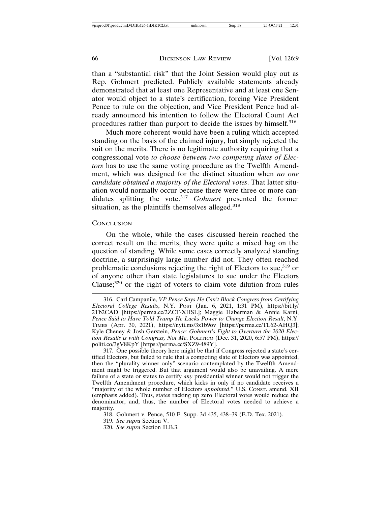than a "substantial risk" that the Joint Session would play out as Rep. Gohmert predicted. Publicly available statements already demonstrated that at least one Representative and at least one Senator would object to a state's certification, forcing Vice President Pence to rule on the objection, and Vice President Pence had already announced his intention to follow the Electoral Count Act procedures rather than purport to decide the issues by himself.<sup>316</sup>

Much more coherent would have been a ruling which accepted standing on the basis of the claimed injury, but simply rejected the suit on the merits. There is no legitimate authority requiring that a congressional vote *to choose between two competing slates of Electors* has to use the same voting procedure as the Twelfth Amendment, which was designed for the distinct situation when *no one candidate obtained a majority of the Electoral votes*. That latter situation would normally occur because there were three or more candidates splitting the vote.<sup>317</sup> *Gohmert* presented the former situation, as the plaintiffs themselves alleged.<sup>318</sup>

#### **CONCLUSION**

On the whole, while the cases discussed herein reached the correct result on the merits, they were quite a mixed bag on the question of standing. While some cases correctly analyzed standing doctrine, a surprisingly large number did not. They often reached problematic conclusions rejecting the right of Electors to sue,  $319$  or of anyone other than state legislatures to sue under the Electors Clause;320 or the right of voters to claim vote dilution from rules

317. One possible theory here might be that if Congress rejected a state's certified Electors, but failed to rule that a competing slate of Electors was appointed, then the "plurality winner only" scenario contemplated by the Twelfth Amendment might be triggered. But that argument would also be unavailing. A mere failure of a state or states to certify *any* presidential winner would not trigger the Twelfth Amendment procedure, which kicks in only if no candidate receives a "majority of the whole number of Electors *appointed*." U.S. CONST. amend. XII (emphasis added). Thus, states racking up zero Electoral votes would reduce the denominator, and, thus, the number of Electoral votes needed to achieve a majority.

<sup>316.</sup> Carl Campanile, *VP Pence Says He Can't Block Congress from Certifying Electoral College Results*, N.Y. POST (Jan. 6, 2021, 1:31 PM), https://bit.ly/ 2Tb2CAD [https://perma.cc/2ZCT-XHSL]; Maggie Haberman & Annie Karni, Pence Said to Have Told Trump He Lacks Power to Change Election Result, N.Y. TIMES (Apr. 30, 2021), https://nyti.ms/3x1b9ov [https://perma.cc/TL62-AHQ3]; Kyle Cheney & Josh Gerstein, *Pence: Gohmert's Fight to Overturn the 2020 Election Results is with Congress, Not Me*, POLITICO (Dec. 31, 2020, 6:57 PM), https:// politi.co/3gV8KpY [https://perma.cc/SXZ9-489Y].

<sup>318.</sup> Gohmert v. Pence, 510 F. Supp. 3d 435, 438–39 (E.D. Tex. 2021).

<sup>319.</sup> *See supra* Section V.

<sup>320.</sup> *See supra* Section II.B.3.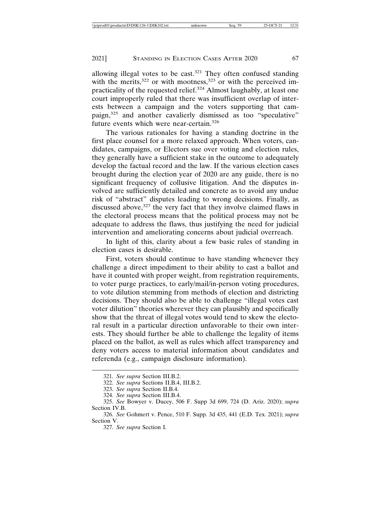allowing illegal votes to be cast.<sup>321</sup> They often confused standing with the merits,  $322$  or with mootness,  $323$  or with the perceived impracticality of the requested relief.<sup>324</sup> Almost laughably, at least one court improperly ruled that there was insufficient overlap of interests between a campaign and the voters supporting that campaign,325 and another cavalierly dismissed as too "speculative" future events which were near-certain.<sup>326</sup>

The various rationales for having a standing doctrine in the first place counsel for a more relaxed approach. When voters, candidates, campaigns, or Electors sue over voting and election rules, they generally have a sufficient stake in the outcome to adequately develop the factual record and the law. If the various election cases brought during the election year of 2020 are any guide, there is no significant frequency of collusive litigation. And the disputes involved are sufficiently detailed and concrete as to avoid any undue risk of "abstract" disputes leading to wrong decisions. Finally, as discussed above,<sup>327</sup> the very fact that they involve claimed flaws in the electoral process means that the political process may not be adequate to address the flaws, thus justifying the need for judicial intervention and ameliorating concerns about judicial overreach.

In light of this, clarity about a few basic rules of standing in election cases is desirable.

First, voters should continue to have standing whenever they challenge a direct impediment to their ability to cast a ballot and have it counted with proper weight, from registration requirements, to voter purge practices, to early/mail/in-person voting procedures, to vote dilution stemming from methods of election and districting decisions. They should also be able to challenge "illegal votes cast voter dilution" theories wherever they can plausibly and specifically show that the threat of illegal votes would tend to skew the electoral result in a particular direction unfavorable to their own interests. They should further be able to challenge the legality of items placed on the ballot, as well as rules which affect transparency and deny voters access to material information about candidates and referenda (e.g., campaign disclosure information).

<sup>321.</sup> *See supra* Section III.B.2.

<sup>322.</sup> *See supra* Sections II.B.4, III.B.2.

<sup>323.</sup> *See supra* Section II.B.4.

<sup>324.</sup> *See supra* Section III.B.4.

<sup>325.</sup> *See* Bowyer v. Ducey, 506 F. Supp 3d 699, 724 (D. Ariz. 2020); *supra* Section IV.B.

<sup>326.</sup> *See* Gohmert v. Pence, 510 F. Supp. 3d 435, 441 (E.D. Tex. 2021); *supra* Section V.

<sup>327.</sup> *See supra* Section I.